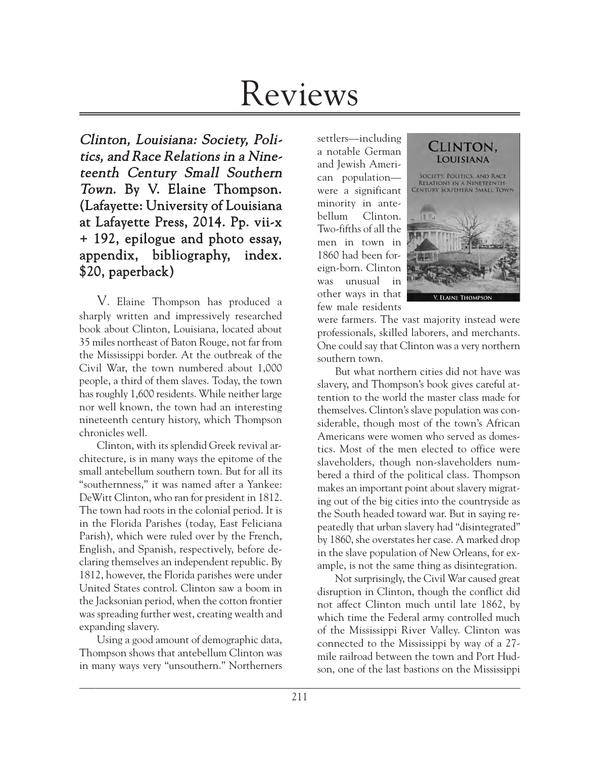# Reviews

Clinton, Louisiana: Society, Politics, and Race Relations in a Nineteenth Century Small Southern Town. By V. Elaine Thompson. (Lafayette: University of Louisiana at Lafayette Press, 2014. Pp. vii-x + 192, epilogue and photo essay, appendix, bibliography, index. \$20, paperback)

V. Elaine Thompson has produced a sharply written and impressively researched book about Clinton, Louisiana, located about 35 miles northeast of Baton Rouge, not far from the Mississippi border. At the outbreak of the Civil War, the town numbered about 1,000 people, a third of them slaves. Today, the town has roughly 1,600 residents. While neither large nor well known, the town had an interesting nineteenth century history, which Thompson chronicles well.

Clinton, with its splendid Greek revival architecture, is in many ways the epitome of the small antebellum southern town. But for all its "southernness," it was named after a Yankee: DeWitt Clinton, who ran for president in 1812. The town had roots in the colonial period. It is in the Florida Parishes (today, East Feliciana Parish), which were ruled over by the French, English, and Spanish, respectively, before declaring themselves an independent republic. By 1812, however, the Florida parishes were under United States control. Clinton saw a boom in the Jacksonian period, when the cotton frontier was spreading further west, creating wealth and expanding slavery.

Using a good amount of demographic data, Thompson shows that antebellum Clinton was in many ways very "unsouthern." Northerners

settlers—including a notable German and Jewish American population were a significant minority in antebellum Clinton. Two-fifths of all the men in town in 1860 had been foreign-born. Clinton was unusual in other ways in that few male residents



were farmers. The vast majority instead were professionals, skilled laborers, and merchants. One could say that Clinton was a very northern southern town.

But what northern cities did not have was slavery, and Thompson's book gives careful attention to the world the master class made for themselves. Clinton's slave population was considerable, though most of the town's African Americans were women who served as domestics. Most of the men elected to office were slaveholders, though non-slaveholders numbered a third of the political class. Thompson makes an important point about slavery migrating out of the big cities into the countryside as the South headed toward war. But in saying repeatedly that urban slavery had "disintegrated" by 1860, she overstates her case. A marked drop in the slave population of New Orleans, for example, is not the same thing as disintegration.

Not surprisingly, the Civil War caused great disruption in Clinton, though the conflict did not affect Clinton much until late 1862, by which time the Federal army controlled much of the Mississippi River Valley. Clinton was connected to the Mississippi by way of a 27 mile railroad between the town and Port Hudson, one of the last bastions on the Mississippi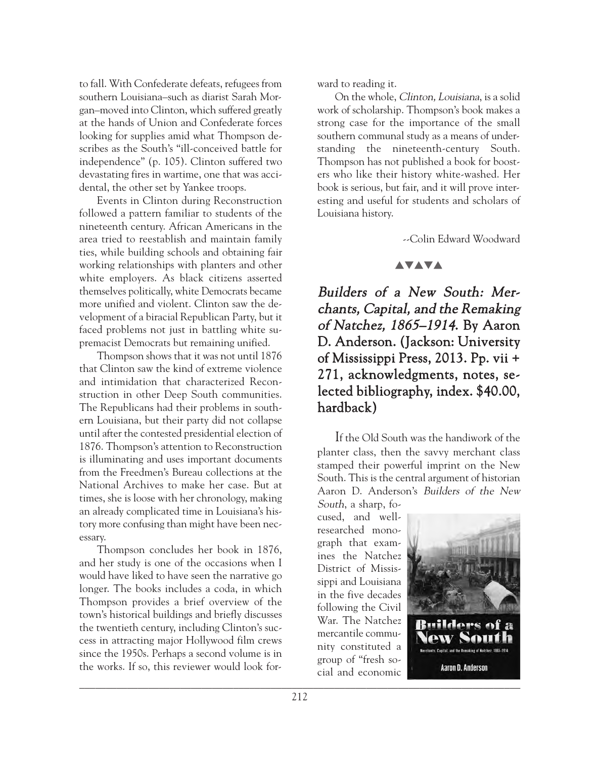to fall. With Confederate defeats, refugees from southern Louisiana–such as diarist Sarah Morgan–moved into Clinton, which suffered greatly at the hands of Union and Confederate forces looking for supplies amid what Thompson describes as the South's "ill-conceived battle for independence" (p. 105). Clinton suffered two devastating fires in wartime, one that was accidental, the other set by Yankee troops.

Events in Clinton during Reconstruction followed a pattern familiar to students of the nineteenth century. African Americans in the area tried to reestablish and maintain family ties, while building schools and obtaining fair working relationships with planters and other white employers. As black citizens asserted themselves politically, white Democrats became more unified and violent. Clinton saw the development of a biracial Republican Party, but it faced problems not just in battling white supremacist Democrats but remaining unified.

Thompson shows that it was not until 1876 that Clinton saw the kind of extreme violence and intimidation that characterized Reconstruction in other Deep South communities. The Republicans had their problems in southern Louisiana, but their party did not collapse until after the contested presidential election of 1876. Thompson's attention to Reconstruction is illuminating and uses important documents from the Freedmen's Bureau collections at the National Archives to make her case. But at times, she is loose with her chronology, making an already complicated time in Louisiana's history more confusing than might have been necessary.

Thompson concludes her book in 1876, and her study is one of the occasions when I would have liked to have seen the narrative go longer. The books includes a coda, in which Thompson provides a brief overview of the town's historical buildings and briefly discusses the twentieth century, including Clinton's success in attracting major Hollywood film crews since the 1950s. Perhaps a second volume is in the works. If so, this reviewer would look forward to reading it.

On the whole, Clinton, Louisiana, is a solid work of scholarship. Thompson's book makes a strong case for the importance of the small southern communal study as a means of understanding the nineteenth-century South. Thompson has not published a book for boosters who like their history white-washed. Her book is serious, but fair, and it will prove interesting and useful for students and scholars of Louisiana history.

--Colin Edward Woodward

### **AVAVA**

Builders of a New South: Merchants, Capital, and the Remaking of Natchez, 1865–1914. By Aaron D. Anderson. (Jackson: University of Mississippi Press, 2013. Pp. vii + 271, acknowledgments, notes, selected bibliography, index. \$40.00, hardback)

If the Old South was the handiwork of the planter class, then the savvy merchant class stamped their powerful imprint on the New South. This is the central argument of historian Aaron D. Anderson's Builders of the New South, a sharp, fo-

\_\_\_\_\_\_\_\_\_\_\_\_\_\_\_\_\_\_\_\_\_\_\_\_\_\_\_\_\_\_\_\_\_\_\_\_\_\_\_\_\_\_\_\_\_\_\_\_\_\_\_\_\_\_\_\_\_\_\_\_\_\_\_\_\_\_\_\_\_\_\_\_\_\_\_\_\_\_\_\_\_\_\_ cused, and wellresearched monograph that examines the Natchez District of Mississippi and Louisiana in the five decades following the Civil War. The Natchez mercantile community constituted a group of "fresh social and economic



**Aaron D. Anderson**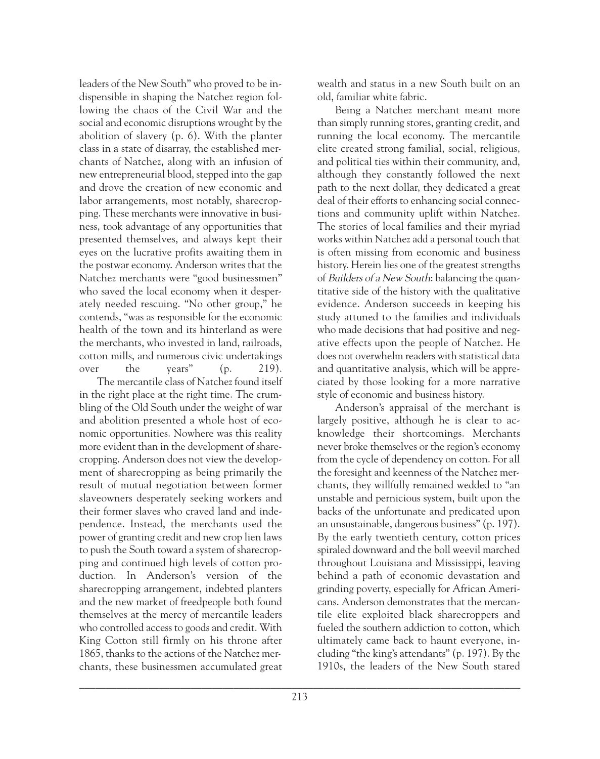leaders of the New South" who proved to be indispensible in shaping the Natchez region following the chaos of the Civil War and the social and economic disruptions wrought by the abolition of slavery (p. 6). With the planter class in a state of disarray, the established merchants of Natchez, along with an infusion of new entrepreneurial blood, stepped into the gap and drove the creation of new economic and labor arrangements, most notably, sharecropping. These merchants were innovative in business, took advantage of any opportunities that presented themselves, and always kept their eyes on the lucrative profits awaiting them in the postwar economy. Anderson writes that the Natchez merchants were "good businessmen" who saved the local economy when it desperately needed rescuing. "No other group," he contends, "was as responsible for the economic health of the town and its hinterland as were the merchants, who invested in land, railroads, cotton mills, and numerous civic undertakings over the years" (p. 219).

The mercantile class of Natchez found itself in the right place at the right time. The crumbling of the Old South under the weight of war and abolition presented a whole host of economic opportunities. Nowhere was this reality more evident than in the development of sharecropping. Anderson does not view the development of sharecropping as being primarily the result of mutual negotiation between former slaveowners desperately seeking workers and their former slaves who craved land and independence. Instead, the merchants used the power of granting credit and new crop lien laws to push the South toward a system of sharecropping and continued high levels of cotton production. In Anderson's version of the sharecropping arrangement, indebted planters and the new market of freedpeople both found themselves at the mercy of mercantile leaders who controlled access to goods and credit. With King Cotton still firmly on his throne after 1865, thanks to the actions of the Natchez merchants, these businessmen accumulated great

wealth and status in a new South built on an old, familiar white fabric.

Being a Natchez merchant meant more than simply running stores, granting credit, and running the local economy. The mercantile elite created strong familial, social, religious, and political ties within their community, and, although they constantly followed the next path to the next dollar, they dedicated a great deal of their efforts to enhancing social connections and community uplift within Natchez. The stories of local families and their myriad works within Natchez add a personal touch that is often missing from economic and business history. Herein lies one of the greatest strengths of Builders of a New South: balancing the quantitative side of the history with the qualitative evidence. Anderson succeeds in keeping his study attuned to the families and individuals who made decisions that had positive and negative effects upon the people of Natchez. He does not overwhelm readers with statistical data and quantitative analysis, which will be appreciated by those looking for a more narrative style of economic and business history.

Anderson's appraisal of the merchant is largely positive, although he is clear to acknowledge their shortcomings. Merchants never broke themselves or the region's economy from the cycle of dependency on cotton. For all the foresight and keenness of the Natchez merchants, they willfully remained wedded to "an unstable and pernicious system, built upon the backs of the unfortunate and predicated upon an unsustainable, dangerous business" (p. 197). By the early twentieth century, cotton prices spiraled downward and the boll weevil marched throughout Louisiana and Mississippi, leaving behind a path of economic devastation and grinding poverty, especially for African Americans. Anderson demonstrates that the mercantile elite exploited black sharecroppers and fueled the southern addiction to cotton, which ultimately came back to haunt everyone, including "the king's attendants" (p. 197). By the 1910s, the leaders of the New South stared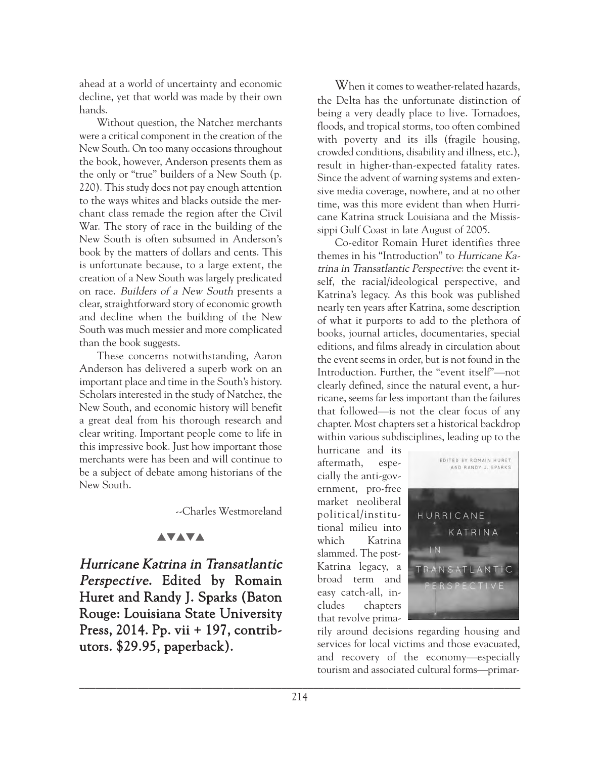ahead at a world of uncertainty and economic decline, yet that world was made by their own hands.

Without question, the Natchez merchants were a critical component in the creation of the New South. On too many occasions throughout the book, however, Anderson presents them as the only or "true" builders of a New South (p. 220). This study does not pay enough attention to the ways whites and blacks outside the merchant class remade the region after the Civil War. The story of race in the building of the New South is often subsumed in Anderson's book by the matters of dollars and cents. This is unfortunate because, to a large extent, the creation of a New South was largely predicated on race. Builders of a New South presents a clear, straightforward story of economic growth and decline when the building of the New South was much messier and more complicated than the book suggests.

These concerns notwithstanding, Aaron Anderson has delivered a superb work on an important place and time in the South's history. Scholars interested in the study of Natchez, the New South, and economic history will benefit a great deal from his thorough research and clear writing. Important people come to life in this impressive book. Just how important those merchants were has been and will continue to be a subject of debate among historians of the New South.

--Charles Westmoreland

## **AVAVA**

Hurricane Katrina in Transatlantic Perspective. Edited by Romain Huret and Randy J. Sparks (Baton Rouge: Louisiana State University Press, 2014. Pp. vii + 197, contributors. \$29.95, paperback).

When it comes to weather-related hazards, the Delta has the unfortunate distinction of being a very deadly place to live. Tornadoes, floods, and tropical storms, too often combined with poverty and its ills (fragile housing, crowded conditions, disability and illness, etc.), result in higher-than-expected fatality rates. Since the advent of warning systems and extensive media coverage, nowhere, and at no other time, was this more evident than when Hurricane Katrina struck Louisiana and the Mississippi Gulf Coast in late August of 2005.

Co-editor Romain Huret identifies three themes in his "Introduction" to Hurricane Katrina in Transatlantic Perspective: the event itself, the racial/ideological perspective, and Katrina's legacy. As this book was published nearly ten years after Katrina, some description of what it purports to add to the plethora of books, journal articles, documentaries, special editions, and films already in circulation about the event seems in order, but is not found in the Introduction. Further, the "event itself"—not clearly defined, since the natural event, a hurricane, seems far less important than the failures that followed—is not the clear focus of any chapter. Most chapters set a historical backdrop within various subdisciplines, leading up to the

hurricane and its aftermath, especially the anti-government, pro-free market neoliberal political/institutional milieu into which Katrina slammed. The post-Katrina legacy, a broad term and easy catch-all, includes chapters that revolve prima-



rily around decisions regarding housing and services for local victims and those evacuated, and recovery of the economy—especially tourism and associated cultural forms—primar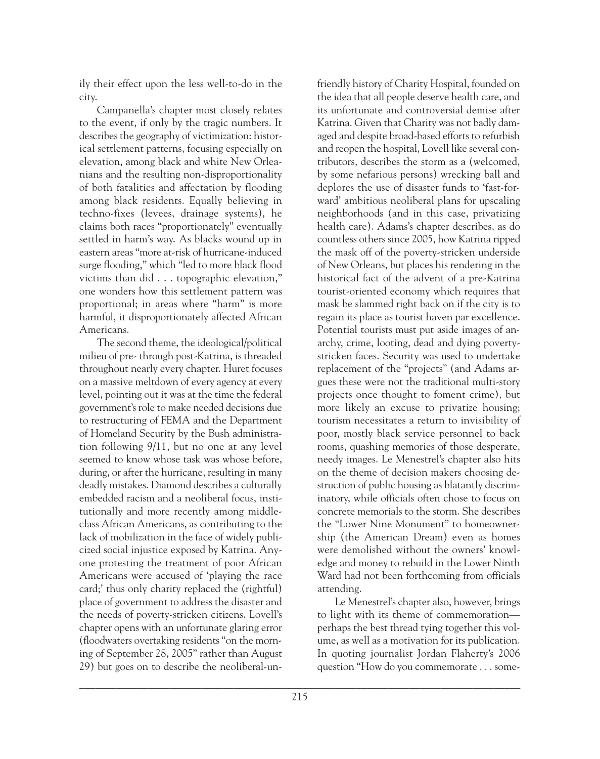ily their effect upon the less well-to-do in the city.

Campanella's chapter most closely relates to the event, if only by the tragic numbers. It describes the geography of victimization: historical settlement patterns, focusing especially on elevation, among black and white New Orleanians and the resulting non-disproportionality of both fatalities and affectation by flooding among black residents. Equally believing in techno-fixes (levees, drainage systems), he claims both races "proportionately" eventually settled in harm's way. As blacks wound up in eastern areas "more at-risk of hurricane-induced surge flooding," which "led to more black flood victims than did . . . topographic elevation," one wonders how this settlement pattern was proportional; in areas where "harm" is more harmful, it disproportionately affected African Americans.

The second theme, the ideological/political milieu of pre- through post-Katrina, is threaded throughout nearly every chapter. Huret focuses on a massive meltdown of every agency at every level, pointing out it was at the time the federal government's role to make needed decisions due to restructuring of FEMA and the Department of Homeland Security by the Bush administration following 9/11, but no one at any level seemed to know whose task was whose before, during, or after the hurricane, resulting in many deadly mistakes. Diamond describes a culturally embedded racism and a neoliberal focus, institutionally and more recently among middleclass African Americans, as contributing to the lack of mobilization in the face of widely publicized social injustice exposed by Katrina. Anyone protesting the treatment of poor African Americans were accused of 'playing the race card;' thus only charity replaced the (rightful) place of government to address the disaster and the needs of poverty-stricken citizens. Lovell's chapter opens with an unfortunate glaring error (floodwaters overtaking residents "on the morning of September 28, 2005" rather than August 29) but goes on to describe the neoliberal-un-

friendly history of Charity Hospital, founded on the idea that all people deserve health care, and its unfortunate and controversial demise after Katrina. Given that Charity was not badly damaged and despite broad-based efforts to refurbish and reopen the hospital, Lovell like several contributors, describes the storm as a (welcomed, by some nefarious persons) wrecking ball and deplores the use of disaster funds to 'fast-forward' ambitious neoliberal plans for upscaling neighborhoods (and in this case, privatizing health care). Adams's chapter describes, as do countless others since 2005, how Katrina ripped the mask off of the poverty-stricken underside of New Orleans, but places his rendering in the historical fact of the advent of a pre-Katrina tourist-oriented economy which requires that mask be slammed right back on if the city is to regain its place as tourist haven par excellence. Potential tourists must put aside images of anarchy, crime, looting, dead and dying povertystricken faces. Security was used to undertake replacement of the "projects" (and Adams argues these were not the traditional multi-story projects once thought to foment crime), but more likely an excuse to privatize housing; tourism necessitates a return to invisibility of poor, mostly black service personnel to back rooms, quashing memories of those desperate, needy images. Le Menestrel's chapter also hits on the theme of decision makers choosing destruction of public housing as blatantly discriminatory, while officials often chose to focus on concrete memorials to the storm. She describes the "Lower Nine Monument" to homeownership (the American Dream) even as homes were demolished without the owners' knowledge and money to rebuild in the Lower Ninth Ward had not been forthcoming from officials attending.

Le Menestrel's chapter also, however, brings to light with its theme of commemoration perhaps the best thread tying together this volume, as well as a motivation for its publication. In quoting journalist Jordan Flaherty's 2006 question "How do you commemorate . . . some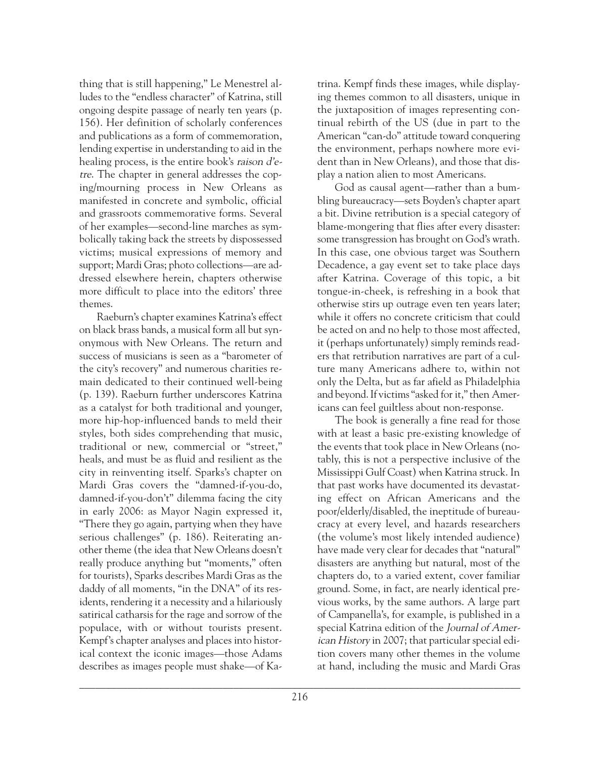thing that is still happening," Le Menestrel alludes to the "endless character" of Katrina, still ongoing despite passage of nearly ten years (p. 156). Her definition of scholarly conferences and publications as a form of commemoration, lending expertise in understanding to aid in the healing process, is the entire book's raison d'etre. The chapter in general addresses the coping/mourning process in New Orleans as manifested in concrete and symbolic, official and grassroots commemorative forms. Several of her examples—second-line marches as symbolically taking back the streets by dispossessed victims; musical expressions of memory and support; Mardi Gras; photo collections—are addressed elsewhere herein, chapters otherwise more difficult to place into the editors' three themes.

Raeburn's chapter examines Katrina's effect on black brass bands, a musical form all but synonymous with New Orleans. The return and success of musicians is seen as a "barometer of the city's recovery" and numerous charities remain dedicated to their continued well-being (p. 139). Raeburn further underscores Katrina as a catalyst for both traditional and younger, more hip-hop-influenced bands to meld their styles, both sides comprehending that music, traditional or new, commercial or "street," heals, and must be as fluid and resilient as the city in reinventing itself. Sparks's chapter on Mardi Gras covers the "damned-if-you-do, damned-if-you-don't" dilemma facing the city in early 2006: as Mayor Nagin expressed it, "There they go again, partying when they have serious challenges" (p. 186). Reiterating another theme (the idea that New Orleans doesn't really produce anything but "moments," often for tourists), Sparks describes Mardi Gras as the daddy of all moments, "in the DNA" of its residents, rendering it a necessity and a hilariously satirical catharsis for the rage and sorrow of the populace, with or without tourists present. Kempf's chapter analyses and places into historical context the iconic images—those Adams describes as images people must shake—of Ka-

trina. Kempf finds these images, while displaying themes common to all disasters, unique in the juxtaposition of images representing continual rebirth of the US (due in part to the American "can-do" attitude toward conquering the environment, perhaps nowhere more evident than in New Orleans), and those that display a nation alien to most Americans.

God as causal agent—rather than a bumbling bureaucracy—sets Boyden's chapter apart a bit. Divine retribution is a special category of blame-mongering that flies after every disaster: some transgression has brought on God's wrath. In this case, one obvious target was Southern Decadence, a gay event set to take place days after Katrina. Coverage of this topic, a bit tongue-in-cheek, is refreshing in a book that otherwise stirs up outrage even ten years later; while it offers no concrete criticism that could be acted on and no help to those most affected, it (perhaps unfortunately) simply reminds readers that retribution narratives are part of a culture many Americans adhere to, within not only the Delta, but as far afield as Philadelphia and beyond. If victims "asked for it," then Americans can feel guiltless about non-response.

The book is generally a fine read for those with at least a basic pre-existing knowledge of the events that took place in New Orleans (notably, this is not a perspective inclusive of the Mississippi Gulf Coast) when Katrina struck. In that past works have documented its devastating effect on African Americans and the poor/elderly/disabled, the ineptitude of bureaucracy at every level, and hazards researchers (the volume's most likely intended audience) have made very clear for decades that "natural" disasters are anything but natural, most of the chapters do, to a varied extent, cover familiar ground. Some, in fact, are nearly identical previous works, by the same authors. A large part of Campanella's, for example, is published in a special Katrina edition of the Journal of American History in 2007; that particular special edition covers many other themes in the volume at hand, including the music and Mardi Gras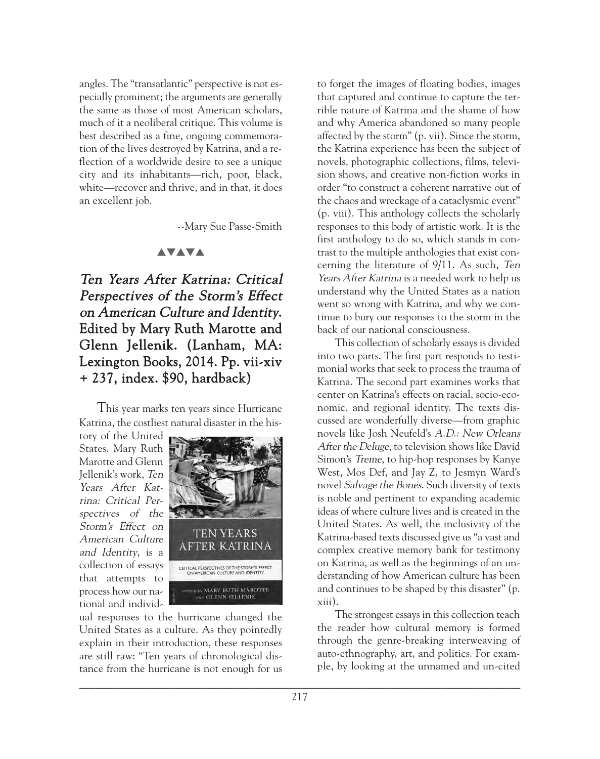angles. The "transatlantic" perspective is not especially prominent; the arguments are generally the same as those of most American scholars, much of it a neoliberal critique. This volume is best described as a fine, ongoing commemoration of the lives destroyed by Katrina, and a reflection of a worldwide desire to see a unique city and its inhabitants—rich, poor, black, white—recover and thrive, and in that, it does an excellent job.

--Mary Sue Passe-Smith

#### **AVAVA**

Ten Years After Katrina: Critical Perspectives of the Storm's Effect on American Culture and Identity. Edited by Mary Ruth Marotte and Glenn Jellenik. (Lanham, MA: Lexington Books, 2014. Pp. vii-xiv + 237, index. \$90, hardback)

This year marks ten years since Hurricane Katrina, the costliest natural disaster in the his-

tory of the United States. Mary Ruth Marotte and Glenn Jellenik's work, Ten Years After Katrina: Critical Perspectives of the Storm's Effect on American Culture and Identity, is a collection of essays that attempts to process how our national and individ-



ual responses to the hurricane changed the United States as a culture. As they pointedly explain in their introduction, these responses are still raw: "Ten years of chronological distance from the hurricane is not enough for us

to forget the images of floating bodies, images that captured and continue to capture the terrible nature of Katrina and the shame of how and why America abandoned so many people affected by the storm" (p. vii). Since the storm, the Katrina experience has been the subject of novels, photographic collections, films, television shows, and creative non-fiction works in order "to construct a coherent narrative out of the chaos and wreckage of a cataclysmic event" (p. viii). This anthology collects the scholarly responses to this body of artistic work. It is the first anthology to do so, which stands in contrast to the multiple anthologies that exist concerning the literature of 9/11. As such, Ten Years After Katrina is a needed work to help us understand why the United States as a nation went so wrong with Katrina, and why we continue to bury our responses to the storm in the back of our national consciousness.

This collection of scholarly essays is divided into two parts. The first part responds to testimonial works that seek to process the trauma of Katrina. The second part examines works that center on Katrina's effects on racial, socio-economic, and regional identity. The texts discussed are wonderfully diverse—from graphic novels like Josh Neufeld's A.D.: New Orleans After the Deluge, to television shows like David Simon's Treme, to hip-hop responses by Kanye West, Mos Def, and Jay Z, to Jesmyn Ward's novel Salvage the Bones. Such diversity of texts is noble and pertinent to expanding academic ideas of where culture lives and is created in the United States. As well, the inclusivity of the Katrina-based texts discussed give us "a vast and complex creative memory bank for testimony on Katrina, as well as the beginnings of an understanding of how American culture has been and continues to be shaped by this disaster" (p. xiii).

The strongest essays in this collection teach the reader how cultural memory is formed through the genre-breaking interweaving of auto-ethnography, art, and politics. For example, by looking at the unnamed and un-cited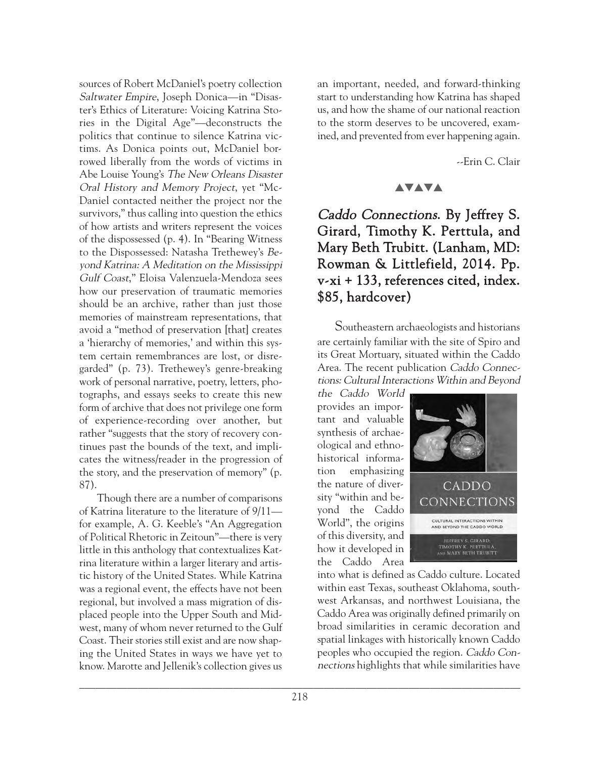sources of Robert McDaniel's poetry collection Saltwater Empire, Joseph Donica—in "Disaster's Ethics of Literature: Voicing Katrina Stories in the Digital Age"—deconstructs the politics that continue to silence Katrina victims. As Donica points out, McDaniel borrowed liberally from the words of victims in Abe Louise Young's The New Orleans Disaster Oral History and Memory Project, yet "Mc-Daniel contacted neither the project nor the survivors," thus calling into question the ethics of how artists and writers represent the voices of the dispossessed (p. 4). In "Bearing Witness to the Dispossessed: Natasha Trethewey's Beyond Katrina: A Meditation on the Mississippi Gulf Coast," Eloisa Valenzuela-Mendoza sees how our preservation of traumatic memories should be an archive, rather than just those memories of mainstream representations, that avoid a "method of preservation [that] creates a 'hierarchy of memories,' and within this system certain remembrances are lost, or disregarded" (p. 73). Trethewey's genre-breaking work of personal narrative, poetry, letters, photographs, and essays seeks to create this new form of archive that does not privilege one form of experience-recording over another, but rather "suggests that the story of recovery continues past the bounds of the text, and implicates the witness/reader in the progression of the story, and the preservation of memory" (p. 87).

Though there are a number of comparisons of Katrina literature to the literature of 9/11 for example, A. G. Keeble's "An Aggregation of Political Rhetoric in Zeitoun"—there is very little in this anthology that contextualizes Katrina literature within a larger literary and artistic history of the United States. While Katrina was a regional event, the effects have not been regional, but involved a mass migration of displaced people into the Upper South and Midwest, many of whom never returned to the Gulf Coast. Their stories still exist and are now shaping the United States in ways we have yet to know. Marotte and Jellenik's collection gives us

an important, needed, and forward-thinking start to understanding how Katrina has shaped us, and how the shame of our national reaction to the storm deserves to be uncovered, examined, and prevented from ever happening again.

--Erin C. Clair

## **AVAVA**

# Caddo Connections. By Jeffrey S. Girard, Timothy K. Perttula, and Mary Beth Trubitt. (Lanham, MD: Rowman & Littlefield, 2014. Pp. v-xi + 133, references cited, index. \$85, hardcover)

Southeastern archaeologists and historians are certainly familiar with the site of Spiro and its Great Mortuary, situated within the Caddo Area. The recent publication Caddo Connections: Cultural Interactions Within and Beyond

the Caddo World provides an important and valuable synthesis of archaeological and ethnohistorical information emphasizing the nature of diversity "within and beyond the Caddo World", the origins of this diversity, and how it developed in the Caddo Area



into what is defined as Caddo culture. Located within east Texas, southeast Oklahoma, southwest Arkansas, and northwest Louisiana, the Caddo Area was originally defined primarily on broad similarities in ceramic decoration and spatial linkages with historically known Caddo peoples who occupied the region. Caddo Connections highlights that while similarities have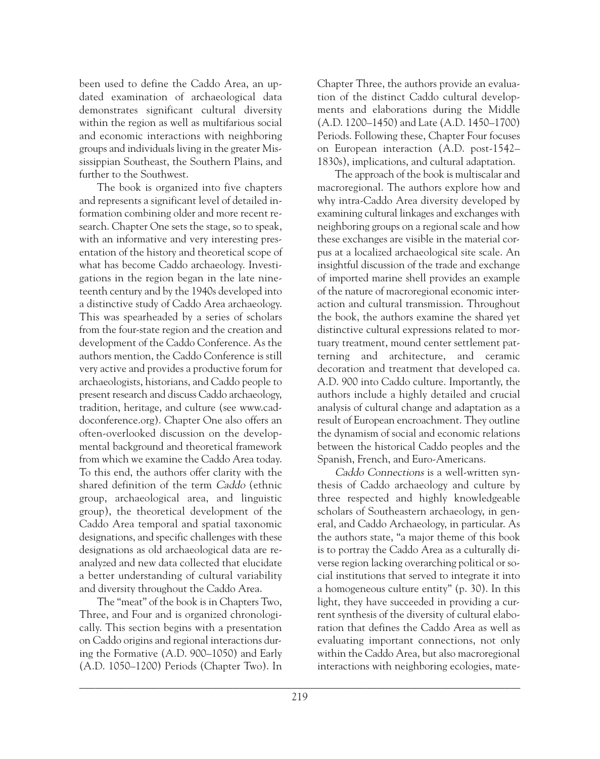been used to define the Caddo Area, an updated examination of archaeological data demonstrates significant cultural diversity within the region as well as multifarious social and economic interactions with neighboring groups and individuals living in the greater Mississippian Southeast, the Southern Plains, and further to the Southwest.

The book is organized into five chapters and represents a significant level of detailed information combining older and more recent research. Chapter One sets the stage, so to speak, with an informative and very interesting presentation of the history and theoretical scope of what has become Caddo archaeology. Investigations in the region began in the late nineteenth century and by the 1940s developed into a distinctive study of Caddo Area archaeology. This was spearheaded by a series of scholars from the four-state region and the creation and development of the Caddo Conference. As the authors mention, the Caddo Conference is still very active and provides a productive forum for archaeologists, historians, and Caddo people to present research and discuss Caddo archaeology, tradition, heritage, and culture (see www.caddoconference.org). Chapter One also offers an often-overlooked discussion on the developmental background and theoretical framework from which we examine the Caddo Area today. To this end, the authors offer clarity with the shared definition of the term Caddo (ethnic group, archaeological area, and linguistic group), the theoretical development of the Caddo Area temporal and spatial taxonomic designations, and specific challenges with these designations as old archaeological data are reanalyzed and new data collected that elucidate a better understanding of cultural variability and diversity throughout the Caddo Area.

The "meat" of the book is in Chapters Two, Three, and Four and is organized chronologically. This section begins with a presentation on Caddo origins and regional interactions during the Formative (A.D. 900–1050) and Early (A.D. 1050–1200) Periods (Chapter Two). In Chapter Three, the authors provide an evaluation of the distinct Caddo cultural developments and elaborations during the Middle (A.D. 1200–1450) and Late (A.D. 1450–1700) Periods. Following these, Chapter Four focuses on European interaction (A.D. post-1542– 1830s), implications, and cultural adaptation.

The approach of the book is multiscalar and macroregional. The authors explore how and why intra-Caddo Area diversity developed by examining cultural linkages and exchanges with neighboring groups on a regional scale and how these exchanges are visible in the material corpus at a localized archaeological site scale. An insightful discussion of the trade and exchange of imported marine shell provides an example of the nature of macroregional economic interaction and cultural transmission. Throughout the book, the authors examine the shared yet distinctive cultural expressions related to mortuary treatment, mound center settlement patterning and architecture, and ceramic decoration and treatment that developed ca. A.D. 900 into Caddo culture. Importantly, the authors include a highly detailed and crucial analysis of cultural change and adaptation as a result of European encroachment. They outline the dynamism of social and economic relations between the historical Caddo peoples and the Spanish, French, and Euro-Americans.

Caddo Connections is a well-written synthesis of Caddo archaeology and culture by three respected and highly knowledgeable scholars of Southeastern archaeology, in general, and Caddo Archaeology, in particular. As the authors state, "a major theme of this book is to portray the Caddo Area as a culturally diverse region lacking overarching political or social institutions that served to integrate it into a homogeneous culture entity" (p. 30). In this light, they have succeeded in providing a current synthesis of the diversity of cultural elaboration that defines the Caddo Area as well as evaluating important connections, not only within the Caddo Area, but also macroregional interactions with neighboring ecologies, mate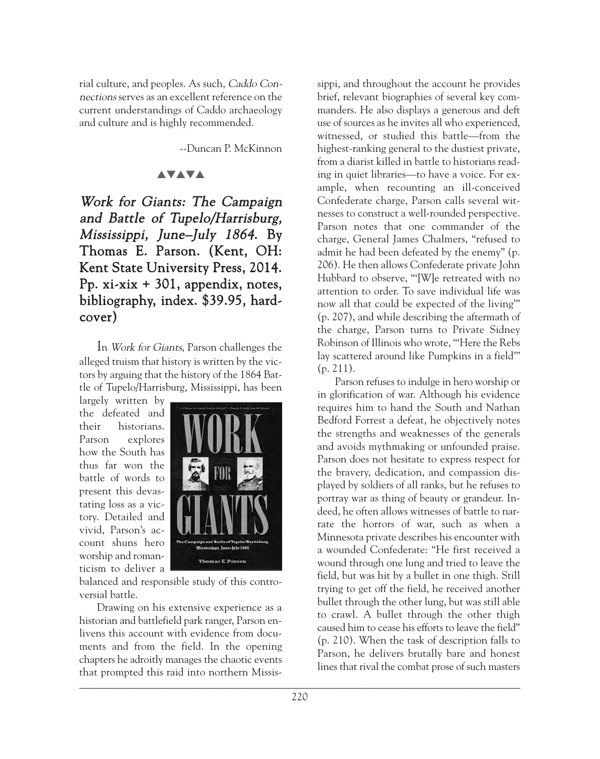rial culture, and peoples. As such, Caddo Connections serves as an excellent reference on the current understandings of Caddo archaeology and culture and is highly recommended.

--Duncan P. McKinnon

## **AVAVA**

Work for Giants: The Campaign and Battle of Tupelo/Harrisburg, Mississippi, June–July 1864. By Thomas E. Parson. (Kent, OH: Kent State University Press, 2014. Pp. xi-xix + 301, appendix, notes, bibliography, index. \$39.95, hardcover)

In Work for Giants, Parson challenges the alleged truism that history is written by the victors by arguing that the history of the 1864 Battle of Tupelo/Harrisburg, Mississippi, has been

largely written by the defeated and their historians. Parson explores how the South has thus far won the battle of words to present this devastating loss as a victory. Detailed and vivid, Parson's account shuns hero worship and romanticism to deliver a



balanced and responsible study of this controversial battle.

 $\blacksquare$ Drawing on his extensive experience as a historian and battlefield park ranger, Parson enlivens this account with evidence from documents and from the field. In the opening chapters he adroitly manages the chaotic events that prompted this raid into northern Missis-

sippi, and throughout the account he provides brief, relevant biographies of several key commanders. He also displays a generous and deft use of sources as he invites all who experienced, witnessed, or studied this battle—from the highest-ranking general to the dustiest private, from a diarist killed in battle to historians reading in quiet libraries—to have a voice. For example, when recounting an ill-conceived Confederate charge, Parson calls several witnesses to construct a well-rounded perspective. Parson notes that one commander of the charge, General James Chalmers, "refused to admit he had been defeated by the enemy" (p. 206). He then allows Confederate private John Hubbard to observe, "'[W]e retreated with no attention to order. To save individual life was now all that could be expected of the living'" (p. 207), and while describing the aftermath of the charge, Parson turns to Private Sidney Robinson of Illinois who wrote, "'Here the Rebs lay scattered around like Pumpkins in a field'" (p. 211).

Parson refuses to indulge in hero worship or in glorification of war. Although his evidence requires him to hand the South and Nathan Bedford Forrest a defeat, he objectively notes the strengths and weaknesses of the generals and avoids mythmaking or unfounded praise. Parson does not hesitate to express respect for the bravery, dedication, and compassion displayed by soldiers of all ranks, but he refuses to portray war as thing of beauty or grandeur. Indeed, he often allows witnesses of battle to narrate the horrors of war, such as when a Minnesota private describes his encounter with a wounded Confederate: "He first received a wound through one lung and tried to leave the field, but was hit by a bullet in one thigh. Still trying to get off the field, he received another bullet through the other lung, but was still able to crawl. A bullet through the other thigh caused him to cease his efforts to leave the field" (p. 210). When the task of description falls to Parson, he delivers brutally bare and honest lines that rival the combat prose of such masters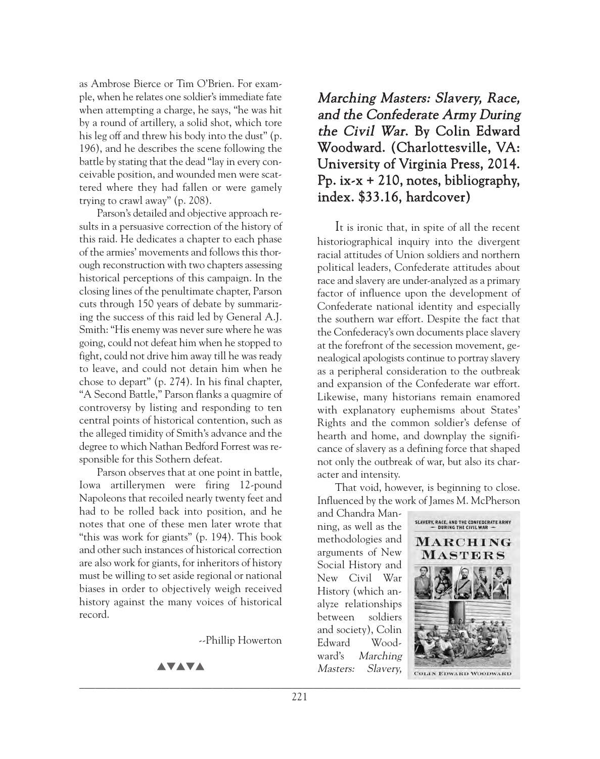as Ambrose Bierce or Tim O'Brien. For example, when he relates one soldier's immediate fate when attempting a charge, he says, "he was hit by a round of artillery, a solid shot, which tore his leg off and threw his body into the dust" (p. 196), and he describes the scene following the battle by stating that the dead "lay in every conceivable position, and wounded men were scattered where they had fallen or were gamely trying to crawl away" (p. 208).

Parson's detailed and objective approach results in a persuasive correction of the history of this raid. He dedicates a chapter to each phase of the armies' movements and follows this thorough reconstruction with two chapters assessing historical perceptions of this campaign. In the closing lines of the penultimate chapter, Parson cuts through 150 years of debate by summarizing the success of this raid led by General A.J. Smith: "His enemy was never sure where he was going, could not defeat him when he stopped to fight, could not drive him away till he was ready to leave, and could not detain him when he chose to depart" (p. 274). In his final chapter, "A Second Battle," Parson flanks a quagmire of controversy by listing and responding to ten central points of historical contention, such as the alleged timidity of Smith's advance and the degree to which Nathan Bedford Forrest was responsible for this Sothern defeat.

Parson observes that at one point in battle, Iowa artillerymen were firing 12-pound Napoleons that recoiled nearly twenty feet and had to be rolled back into position, and he notes that one of these men later wrote that "this was work for giants" (p. 194). This book and other such instances of historical correction are also work for giants, for inheritors of history must be willing to set aside regional or national biases in order to objectively weigh received history against the many voices of historical record.

--Phillip Howerton

#### **AVAVA**

# Marching Masters: Slavery, Race, and the Confederate Army During the Civil War. By Colin Edward Woodward. (Charlottesville, VA: University of Virginia Press, 2014. Pp.  $ix-x + 210$ , notes, bibliography, index. \$33.16, hardcover)

It is ironic that, in spite of all the recent historiographical inquiry into the divergent racial attitudes of Union soldiers and northern political leaders, Confederate attitudes about race and slavery are under-analyzed as a primary factor of influence upon the development of Confederate national identity and especially the southern war effort. Despite the fact that the Confederacy's own documents place slavery at the forefront of the secession movement, genealogical apologists continue to portray slavery as a peripheral consideration to the outbreak and expansion of the Confederate war effort. Likewise, many historians remain enamored with explanatory euphemisms about States' Rights and the common soldier's defense of hearth and home, and downplay the significance of slavery as a defining force that shaped not only the outbreak of war, but also its character and intensity.

That void, however, is beginning to close. Influenced by the work of James M. McPherson

and Chandra Manning, as well as the methodologies and arguments of New Social History and New Civil War History (which analyze relationships between soldiers and society), Colin Edward Woodward's Marching Masters: Slavery,



**COLIN EDWARD WOODWARD**  $\mathcal{L}_\mathcal{A}$  and the contribution of the contribution of the contribution of the contribution of the contribution of the contribution of the contribution of the contribution of the contribution of the contribution of th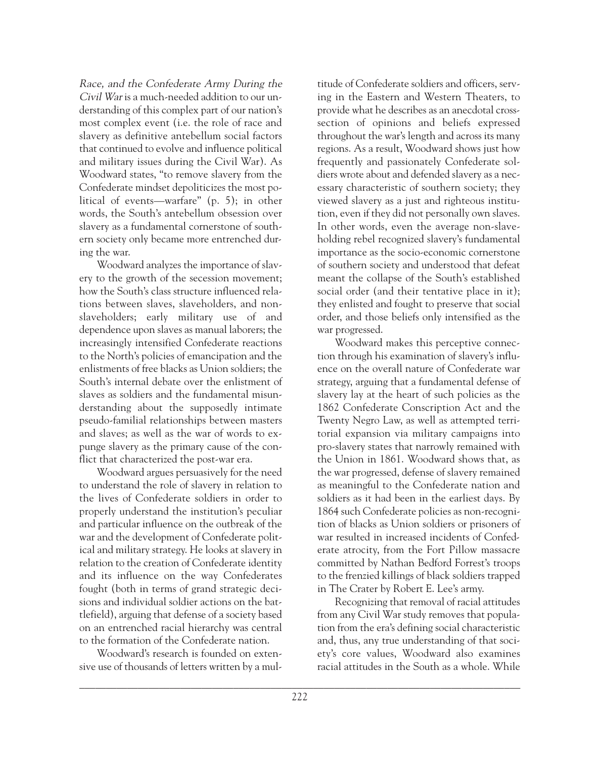Race, and the Confederate Army During the Civil War is a much-needed addition to our understanding of this complex part of our nation's most complex event (i.e. the role of race and slavery as definitive antebellum social factors that continued to evolve and influence political and military issues during the Civil War). As Woodward states, "to remove slavery from the Confederate mindset depoliticizes the most political of events—warfare" (p. 5); in other words, the South's antebellum obsession over slavery as a fundamental cornerstone of southern society only became more entrenched during the war.

Woodward analyzes the importance of slavery to the growth of the secession movement; how the South's class structure influenced relations between slaves, slaveholders, and nonslaveholders; early military use of and dependence upon slaves as manual laborers; the increasingly intensified Confederate reactions to the North's policies of emancipation and the enlistments of free blacks as Union soldiers; the South's internal debate over the enlistment of slaves as soldiers and the fundamental misunderstanding about the supposedly intimate pseudo-familial relationships between masters and slaves; as well as the war of words to expunge slavery as the primary cause of the conflict that characterized the post-war era.

Woodward argues persuasively for the need to understand the role of slavery in relation to the lives of Confederate soldiers in order to properly understand the institution's peculiar and particular influence on the outbreak of the war and the development of Confederate political and military strategy. He looks at slavery in relation to the creation of Confederate identity and its influence on the way Confederates fought (both in terms of grand strategic decisions and individual soldier actions on the battlefield), arguing that defense of a society based on an entrenched racial hierarchy was central to the formation of the Confederate nation.

Woodward's research is founded on extensive use of thousands of letters written by a mul-

titude of Confederate soldiers and officers, serving in the Eastern and Western Theaters, to provide what he describes as an anecdotal crosssection of opinions and beliefs expressed throughout the war's length and across its many regions. As a result, Woodward shows just how frequently and passionately Confederate soldiers wrote about and defended slavery as a necessary characteristic of southern society; they viewed slavery as a just and righteous institution, even if they did not personally own slaves. In other words, even the average non-slaveholding rebel recognized slavery's fundamental importance as the socio-economic cornerstone of southern society and understood that defeat meant the collapse of the South's established social order (and their tentative place in it); they enlisted and fought to preserve that social order, and those beliefs only intensified as the war progressed.

Woodward makes this perceptive connection through his examination of slavery's influence on the overall nature of Confederate war strategy, arguing that a fundamental defense of slavery lay at the heart of such policies as the 1862 Confederate Conscription Act and the Twenty Negro Law, as well as attempted territorial expansion via military campaigns into pro-slavery states that narrowly remained with the Union in 1861. Woodward shows that, as the war progressed, defense of slavery remained as meaningful to the Confederate nation and soldiers as it had been in the earliest days. By 1864 such Confederate policies as non-recognition of blacks as Union soldiers or prisoners of war resulted in increased incidents of Confederate atrocity, from the Fort Pillow massacre committed by Nathan Bedford Forrest's troops to the frenzied killings of black soldiers trapped in The Crater by Robert E. Lee's army.

Recognizing that removal of racial attitudes from any Civil War study removes that population from the era's defining social characteristic and, thus, any true understanding of that society's core values, Woodward also examines racial attitudes in the South as a whole. While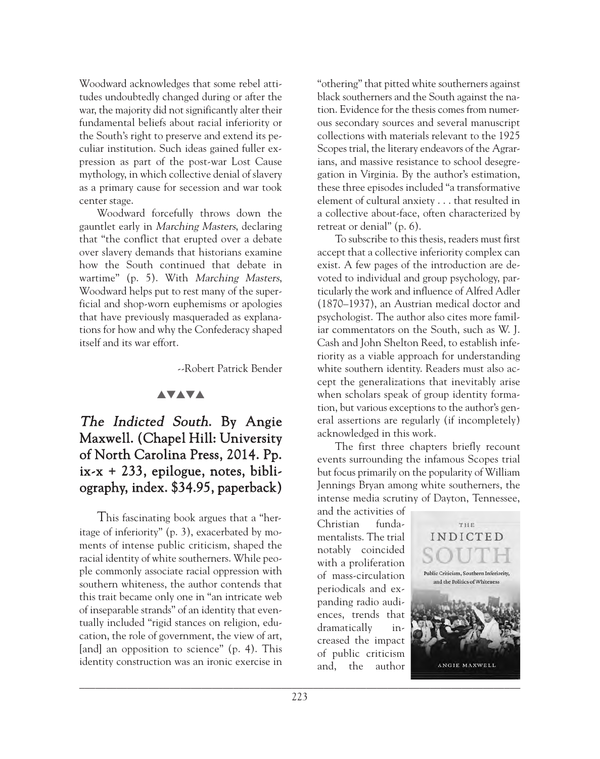Woodward acknowledges that some rebel attitudes undoubtedly changed during or after the war, the majority did not significantly alter their fundamental beliefs about racial inferiority or the South's right to preserve and extend its peculiar institution. Such ideas gained fuller expression as part of the post-war Lost Cause mythology, in which collective denial of slavery as a primary cause for secession and war took center stage.

Woodward forcefully throws down the gauntlet early in Marching Masters, declaring that "the conflict that erupted over a debate over slavery demands that historians examine how the South continued that debate in wartime" (p. 5). With Marching Masters, Woodward helps put to rest many of the superficial and shop-worn euphemisms or apologies that have previously masqueraded as explanations for how and why the Confederacy shaped itself and its war effort.

--Robert Patrick Bender

#### **AVAVA**

# The Indicted South. By Angie Maxwell. (Chapel Hill: University of North Carolina Press, 2014. Pp. ix-x + 233, epilogue, notes, bibliography, index. \$34.95, paperback)

This fascinating book argues that a "heritage of inferiority" (p. 3), exacerbated by moments of intense public criticism, shaped the racial identity of white southerners. While people commonly associate racial oppression with southern whiteness, the author contends that this trait became only one in "an intricate web of inseparable strands" of an identity that eventually included "rigid stances on religion, education, the role of government, the view of art, [and] an opposition to science" (p. 4). This identity construction was an ironic exercise in

"othering" that pitted white southerners against black southerners and the South against the nation. Evidence for the thesis comes from numerous secondary sources and several manuscript collections with materials relevant to the 1925 Scopes trial, the literary endeavors of the Agrarians, and massive resistance to school desegregation in Virginia. By the author's estimation, these three episodes included "a transformative element of cultural anxiety . . . that resulted in a collective about-face, often characterized by retreat or denial" (p. 6).

To subscribe to this thesis, readers must first accept that a collective inferiority complex can exist. A few pages of the introduction are devoted to individual and group psychology, particularly the work and influence of Alfred Adler (1870–1937), an Austrian medical doctor and psychologist. The author also cites more familiar commentators on the South, such as W. J. Cash and John Shelton Reed, to establish inferiority as a viable approach for understanding white southern identity. Readers must also accept the generalizations that inevitably arise when scholars speak of group identity formation, but various exceptions to the author's general assertions are regularly (if incompletely) acknowledged in this work.

The first three chapters briefly recount events surrounding the infamous Scopes trial but focus primarily on the popularity of William Jennings Bryan among white southerners, the intense media scrutiny of Dayton, Tennessee,

and the activities of Christian fundamentalists. The trial notably coincided with a proliferation of mass-circulation periodicals and expanding radio audiences, trends that dramatically increased the impact of public criticism and, the author

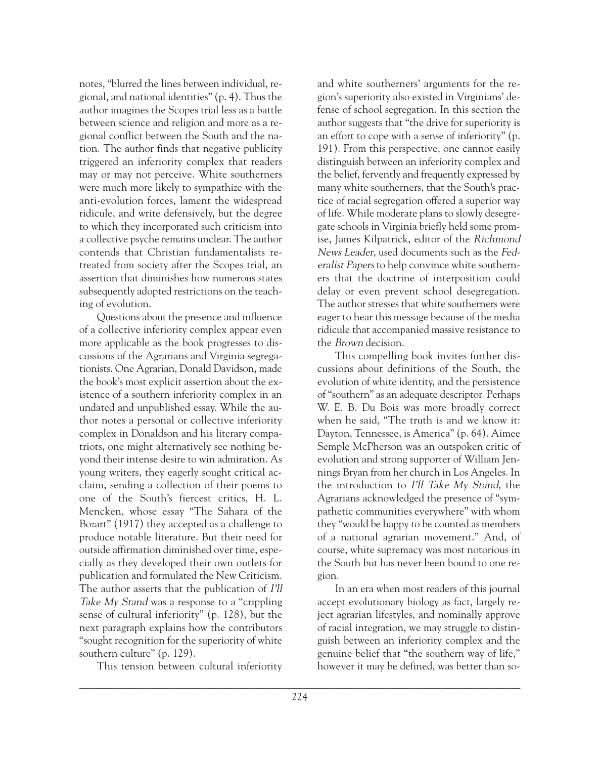notes, "blurred the lines between individual, regional, and national identities" (p. 4). Thus the author imagines the Scopes trial less as a battle between science and religion and more as a regional conflict between the South and the nation. The author finds that negative publicity triggered an inferiority complex that readers may or may not perceive. White southerners were much more likely to sympathize with the anti-evolution forces, lament the widespread ridicule, and write defensively, but the degree to which they incorporated such criticism into a collective psyche remains unclear. The author contends that Christian fundamentalists retreated from society after the Scopes trial, an assertion that diminishes how numerous states subsequently adopted restrictions on the teaching of evolution.

Questions about the presence and influence of a collective inferiority complex appear even more applicable as the book progresses to discussions of the Agrarians and Virginia segregationists. One Agrarian, Donald Davidson, made the book's most explicit assertion about the existence of a southern inferiority complex in an undated and unpublished essay. While the author notes a personal or collective inferiority complex in Donaldson and his literary compatriots, one might alternatively see nothing beyond their intense desire to win admiration. As young writers, they eagerly sought critical acclaim, sending a collection of their poems to one of the South's fiercest critics, H. L. Mencken, whose essay "The Sahara of the Bozart" (1917) they accepted as a challenge to produce notable literature. But their need for outside affirmation diminished over time, especially as they developed their own outlets for publication and formulated the New Criticism. The author asserts that the publication of I'll Take My Stand was a response to a "crippling" sense of cultural inferiority" (p. 128), but the next paragraph explains how the contributors "sought recognition for the superiority of white southern culture" (p. 129).

This tension between cultural inferiority

and white southerners' arguments for the region's superiority also existed in Virginians' defense of school segregation. In this section the author suggests that "the drive for superiority is an effort to cope with a sense of inferiority" (p. 191). From this perspective, one cannot easily distinguish between an inferiority complex and the belief, fervently and frequently expressed by many white southerners, that the South's practice of racial segregation offered a superior way of life. While moderate plans to slowly desegregate schools in Virginia briefly held some promise, James Kilpatrick, editor of the Richmond News Leader, used documents such as the Federalist Papers to help convince white southerners that the doctrine of interposition could delay or even prevent school desegregation. The author stresses that white southerners were eager to hear this message because of the media ridicule that accompanied massive resistance to the Brown decision.

This compelling book invites further discussions about definitions of the South, the evolution of white identity, and the persistence of "southern" as an adequate descriptor. Perhaps W. E. B. Du Bois was more broadly correct when he said, "The truth is and we know it: Dayton, Tennessee, is America" (p. 64). Aimee Semple McPherson was an outspoken critic of evolution and strong supporter of William Jennings Bryan from her church in Los Angeles. In the introduction to I'll Take My Stand, the Agrarians acknowledged the presence of "sympathetic communities everywhere" with whom they "would be happy to be counted as members of a national agrarian movement." And, of course, white supremacy was most notorious in the South but has never been bound to one region.

In an era when most readers of this journal accept evolutionary biology as fact, largely reject agrarian lifestyles, and nominally approve of racial integration, we may struggle to distinguish between an inferiority complex and the genuine belief that "the southern way of life," however it may be defined, was better than so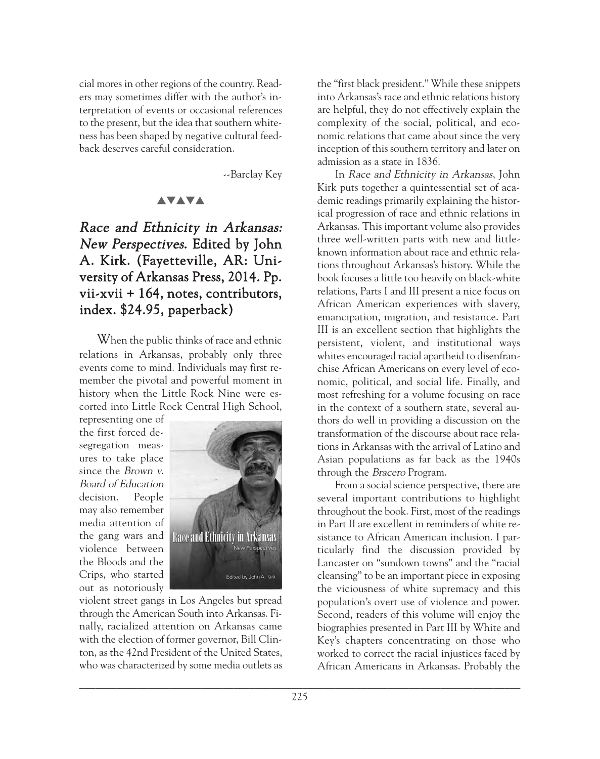cial mores in other regions of the country. Readers may sometimes differ with the author's interpretation of events or occasional references to the present, but the idea that southern whiteness has been shaped by negative cultural feedback deserves careful consideration.

--Barclay Key

#### **AVAVA**

## Race and Ethnicity in Arkansas: New Perspectives. Edited by John A. Kirk. (Fayetteville, AR: University of Arkansas Press, 2014. Pp. vii-xvii + 164, notes, contributors, index. \$24.95, paperback)

When the public thinks of race and ethnic relations in Arkansas, probably only three events come to mind. Individuals may first remember the pivotal and powerful moment in history when the Little Rock Nine were escorted into Little Rock Central High School,

representing one of the first forced desegregation measures to take place since the Brown v. Board of Education decision. People may also remember media attention of the gang wars and violence between the Bloods and the Crips, who started out as notoriously



violent street gangs in Los Angeles but spread through the American South into Arkansas. Finally, racialized attention on Arkansas came with the election of former governor, Bill Clinton, as the 42nd President of the United States, who was characterized by some media outlets as the "first black president." While these snippets into Arkansas's race and ethnic relations history are helpful, they do not effectively explain the complexity of the social, political, and economic relations that came about since the very inception of this southern territory and later on admission as a state in 1836.

In Race and Ethnicity in Arkansas, John Kirk puts together a quintessential set of academic readings primarily explaining the historical progression of race and ethnic relations in Arkansas. This important volume also provides three well-written parts with new and littleknown information about race and ethnic relations throughout Arkansas's history. While the book focuses a little too heavily on black-white relations, Parts I and III present a nice focus on African American experiences with slavery, emancipation, migration, and resistance. Part III is an excellent section that highlights the persistent, violent, and institutional ways whites encouraged racial apartheid to disenfranchise African Americans on every level of economic, political, and social life. Finally, and most refreshing for a volume focusing on race in the context of a southern state, several authors do well in providing a discussion on the transformation of the discourse about race relations in Arkansas with the arrival of Latino and Asian populations as far back as the 1940s through the Bracero Program.

From a social science perspective, there are several important contributions to highlight throughout the book. First, most of the readings in Part II are excellent in reminders of white resistance to African American inclusion. I particularly find the discussion provided by Lancaster on "sundown towns" and the "racial cleansing" to be an important piece in exposing the viciousness of white supremacy and this population's overt use of violence and power. Second, readers of this volume will enjoy the biographies presented in Part III by White and Key's chapters concentrating on those who worked to correct the racial injustices faced by African Americans in Arkansas. Probably the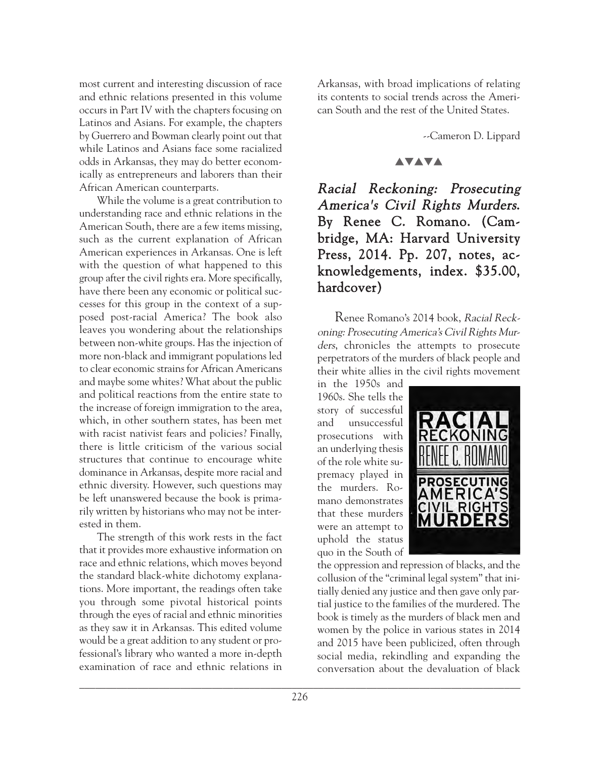most current and interesting discussion of race and ethnic relations presented in this volume occurs in Part IV with the chapters focusing on Latinos and Asians. For example, the chapters by Guerrero and Bowman clearly point out that while Latinos and Asians face some racialized odds in Arkansas, they may do better economically as entrepreneurs and laborers than their African American counterparts.

While the volume is a great contribution to understanding race and ethnic relations in the American South, there are a few items missing, such as the current explanation of African American experiences in Arkansas. One is left with the question of what happened to this group after the civil rights era. More specifically, have there been any economic or political successes for this group in the context of a supposed post-racial America? The book also leaves you wondering about the relationships between non-white groups. Has the injection of more non-black and immigrant populations led to clear economic strains for African Americans and maybe some whites? What about the public and political reactions from the entire state to the increase of foreign immigration to the area, which, in other southern states, has been met with racist nativist fears and policies? Finally, there is little criticism of the various social structures that continue to encourage white dominance in Arkansas, despite more racial and ethnic diversity. However, such questions may be left unanswered because the book is primarily written by historians who may not be interested in them.

The strength of this work rests in the fact that it provides more exhaustive information on race and ethnic relations, which moves beyond the standard black-white dichotomy explanations. More important, the readings often take you through some pivotal historical points through the eyes of racial and ethnic minorities as they saw it in Arkansas. This edited volume would be a great addition to any student or professional's library who wanted a more in-depth examination of race and ethnic relations in

Arkansas, with broad implications of relating its contents to social trends across the American South and the rest of the United States.

--Cameron D. Lippard

#### **AVAVA**

Racial Reckoning: Prosecuting America's Civil Rights Murders. By Renee C. Romano. (Cambridge, MA: Harvard University Press, 2014. Pp. 207, notes, acknowledgements, index. \$35.00, hardcover)

Renee Romano's 2014 book, Racial Reckoning: Prosecuting America's Civil Rights Murders, chronicles the attempts to prosecute perpetrators of the murders of black people and their white allies in the civil rights movement

in the 1950s and 1960s. She tells the story of successful and unsuccessful prosecutions with an underlying thesis of the role white supremacy played in the murders. Romano demonstrates that these murders were an attempt to uphold the status quo in the South of



the oppression and repression of blacks, and the collusion of the "criminal legal system" that initially denied any justice and then gave only partial justice to the families of the murdered. The book is timely as the murders of black men and women by the police in various states in 2014 and 2015 have been publicized, often through social media, rekindling and expanding the conversation about the devaluation of black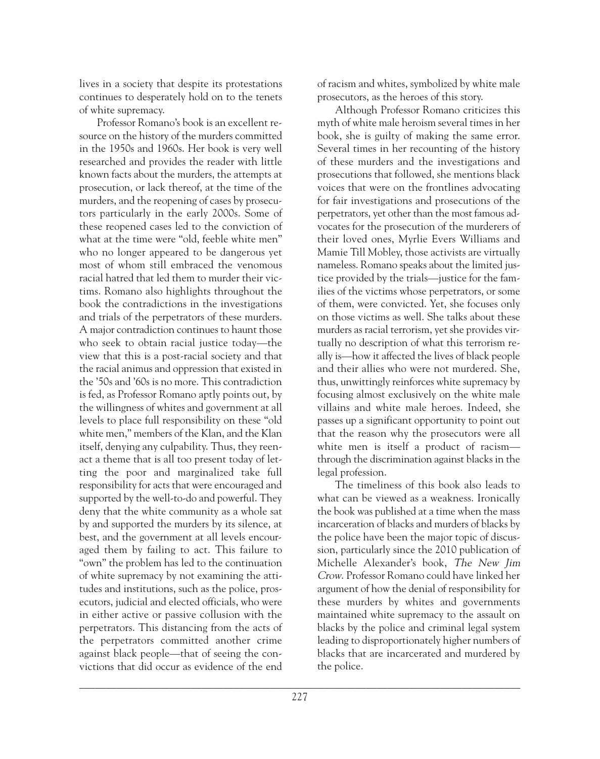lives in a society that despite its protestations continues to desperately hold on to the tenets of white supremacy.

Professor Romano's book is an excellent resource on the history of the murders committed in the 1950s and 1960s. Her book is very well researched and provides the reader with little known facts about the murders, the attempts at prosecution, or lack thereof, at the time of the murders, and the reopening of cases by prosecutors particularly in the early 2000s. Some of these reopened cases led to the conviction of what at the time were "old, feeble white men" who no longer appeared to be dangerous yet most of whom still embraced the venomous racial hatred that led them to murder their victims. Romano also highlights throughout the book the contradictions in the investigations and trials of the perpetrators of these murders. A major contradiction continues to haunt those who seek to obtain racial justice today—the view that this is a post-racial society and that the racial animus and oppression that existed in the '50s and '60s is no more. This contradiction is fed, as Professor Romano aptly points out, by the willingness of whites and government at all levels to place full responsibility on these "old white men," members of the Klan, and the Klan itself, denying any culpability. Thus, they reenact a theme that is all too present today of letting the poor and marginalized take full responsibility for acts that were encouraged and supported by the well-to-do and powerful. They deny that the white community as a whole sat by and supported the murders by its silence, at best, and the government at all levels encouraged them by failing to act. This failure to "own" the problem has led to the continuation of white supremacy by not examining the attitudes and institutions, such as the police, prosecutors, judicial and elected officials, who were in either active or passive collusion with the perpetrators. This distancing from the acts of the perpetrators committed another crime against black people—that of seeing the convictions that did occur as evidence of the end

of racism and whites, symbolized by white male prosecutors, as the heroes of this story.

Although Professor Romano criticizes this myth of white male heroism several times in her book, she is guilty of making the same error. Several times in her recounting of the history of these murders and the investigations and prosecutions that followed, she mentions black voices that were on the frontlines advocating for fair investigations and prosecutions of the perpetrators, yet other than the most famous advocates for the prosecution of the murderers of their loved ones, Myrlie Evers Williams and Mamie Till Mobley, those activists are virtually nameless. Romano speaks about the limited justice provided by the trials—justice for the families of the victims whose perpetrators, or some of them, were convicted. Yet, she focuses only on those victims as well. She talks about these murders as racial terrorism, yet she provides virtually no description of what this terrorism really is—how it affected the lives of black people and their allies who were not murdered. She, thus, unwittingly reinforces white supremacy by focusing almost exclusively on the white male villains and white male heroes. Indeed, she passes up a significant opportunity to point out that the reason why the prosecutors were all white men is itself a product of racism through the discrimination against blacks in the legal profession.

The timeliness of this book also leads to what can be viewed as a weakness. Ironically the book was published at a time when the mass incarceration of blacks and murders of blacks by the police have been the major topic of discussion, particularly since the 2010 publication of Michelle Alexander's book, The New Jim Crow. Professor Romano could have linked her argument of how the denial of responsibility for these murders by whites and governments maintained white supremacy to the assault on blacks by the police and criminal legal system leading to disproportionately higher numbers of blacks that are incarcerated and murdered by the police.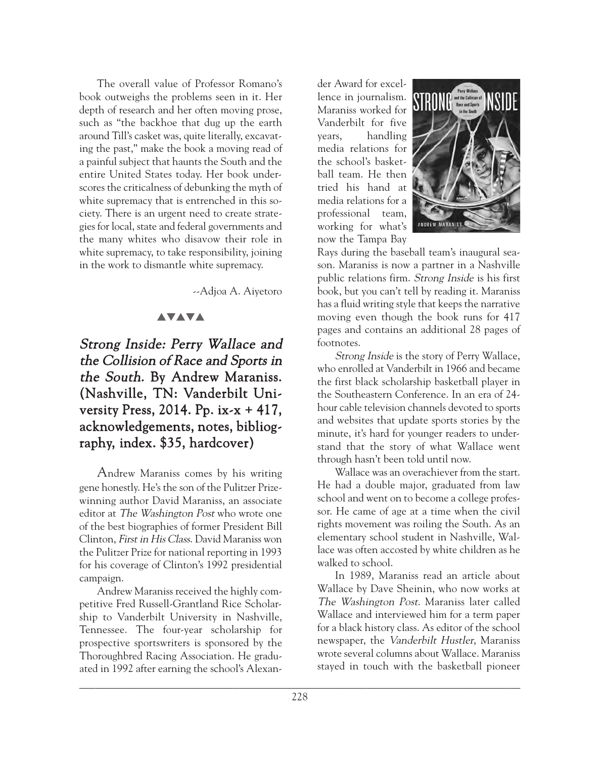The overall value of Professor Romano's book outweighs the problems seen in it. Her depth of research and her often moving prose, such as "the backhoe that dug up the earth around Till's casket was, quite literally, excavating the past," make the book a moving read of a painful subject that haunts the South and the entire United States today. Her book underscores the criticalness of debunking the myth of white supremacy that is entrenched in this society. There is an urgent need to create strategies for local, state and federal governments and the many whites who disavow their role in white supremacy, to take responsibility, joining in the work to dismantle white supremacy.

--Adjoa A. Aiyetoro

## **AVAVA**

# Strong Inside: Perry Wallace and the Collision of Race and Sports in the South. By Andrew Maraniss. (Nashville, TN: Vanderbilt University Press, 2014. Pp. ix-x + 417, acknowledgements, notes, bibliography, index. \$35, hardcover)

Andrew Maraniss comes by his writing gene honestly. He's the son of the Pulitzer Prizewinning author David Maraniss, an associate editor at The Washington Post who wrote one of the best biographies of former President Bill Clinton, First in His Class. David Maraniss won the Pulitzer Prize for national reporting in 1993 for his coverage of Clinton's 1992 presidential campaign.

Andrew Maraniss received the highly competitive Fred Russell-Grantland Rice Scholarship to Vanderbilt University in Nashville, Tennessee. The four-year scholarship for prospective sportswriters is sponsored by the Thoroughbred Racing Association. He graduated in 1992 after earning the school's Alexander Award for excellence in journalism. Maraniss worked for Vanderbilt for five years, handling media relations for the school's basketball team. He then tried his hand at media relations for a professional team, working for what's now the Tampa Bay



Rays during the baseball team's inaugural season. Maraniss is now a partner in a Nashville public relations firm. Strong Inside is his first book, but you can't tell by reading it. Maraniss has a fluid writing style that keeps the narrative moving even though the book runs for 417 pages and contains an additional 28 pages of footnotes.

Strong Inside is the story of Perry Wallace, who enrolled at Vanderbilt in 1966 and became the first black scholarship basketball player in the Southeastern Conference. In an era of 24 hour cable television channels devoted to sports and websites that update sports stories by the minute, it's hard for younger readers to understand that the story of what Wallace went through hasn't been told until now.

Wallace was an overachiever from the start. He had a double major, graduated from law school and went on to become a college professor. He came of age at a time when the civil rights movement was roiling the South. As an elementary school student in Nashville, Wallace was often accosted by white children as he walked to school.

In 1989, Maraniss read an article about Wallace by Dave Sheinin, who now works at The Washington Post. Maraniss later called Wallace and interviewed him for a term paper for a black history class. As editor of the school newspaper, the Vanderbilt Hustler, Maraniss wrote several columns about Wallace. Maraniss stayed in touch with the basketball pioneer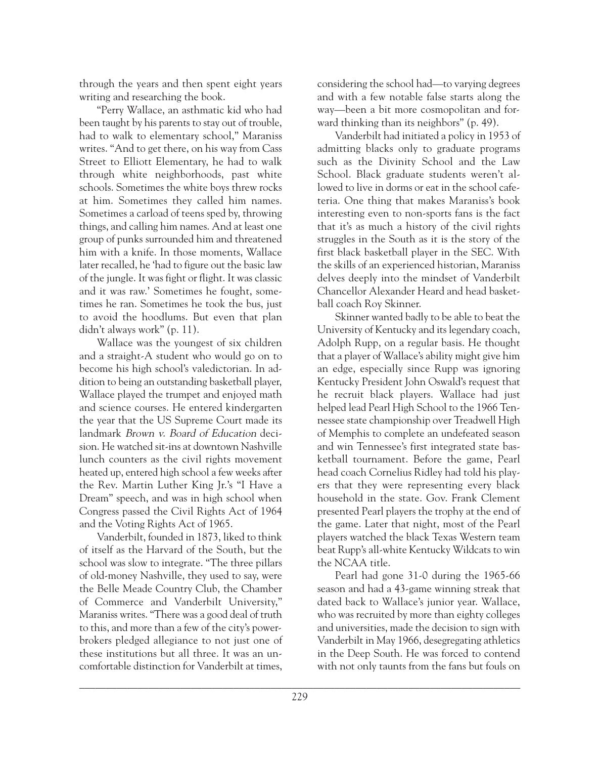through the years and then spent eight years writing and researching the book.

"Perry Wallace, an asthmatic kid who had been taught by his parents to stay out of trouble, had to walk to elementary school," Maraniss writes. "And to get there, on his way from Cass Street to Elliott Elementary, he had to walk through white neighborhoods, past white schools. Sometimes the white boys threw rocks at him. Sometimes they called him names. Sometimes a carload of teens sped by, throwing things, and calling him names. And at least one group of punks surrounded him and threatened him with a knife. In those moments, Wallace later recalled, he 'had to figure out the basic law of the jungle. It was fight or flight. It was classic and it was raw.' Sometimes he fought, sometimes he ran. Sometimes he took the bus, just to avoid the hoodlums. But even that plan didn't always work" (p. 11).

Wallace was the youngest of six children and a straight-A student who would go on to become his high school's valedictorian. In addition to being an outstanding basketball player, Wallace played the trumpet and enjoyed math and science courses. He entered kindergarten the year that the US Supreme Court made its landmark Brown v. Board of Education decision. He watched sit-ins at downtown Nashville lunch counters as the civil rights movement heated up, entered high school a few weeks after the Rev. Martin Luther King Jr.'s "I Have a Dream" speech, and was in high school when Congress passed the Civil Rights Act of 1964 and the Voting Rights Act of 1965.

Vanderbilt, founded in 1873, liked to think of itself as the Harvard of the South, but the school was slow to integrate. "The three pillars of old-money Nashville, they used to say, were the Belle Meade Country Club, the Chamber of Commerce and Vanderbilt University," Maraniss writes. "There was a good deal of truth to this, and more than a few of the city's powerbrokers pledged allegiance to not just one of these institutions but all three. It was an uncomfortable distinction for Vanderbilt at times,

considering the school had—to varying degrees and with a few notable false starts along the way—been a bit more cosmopolitan and forward thinking than its neighbors" (p. 49).

Vanderbilt had initiated a policy in 1953 of admitting blacks only to graduate programs such as the Divinity School and the Law School. Black graduate students weren't allowed to live in dorms or eat in the school cafeteria. One thing that makes Maraniss's book interesting even to non-sports fans is the fact that it's as much a history of the civil rights struggles in the South as it is the story of the first black basketball player in the SEC. With the skills of an experienced historian, Maraniss delves deeply into the mindset of Vanderbilt Chancellor Alexander Heard and head basketball coach Roy Skinner.

Skinner wanted badly to be able to beat the University of Kentucky and its legendary coach, Adolph Rupp, on a regular basis. He thought that a player of Wallace's ability might give him an edge, especially since Rupp was ignoring Kentucky President John Oswald's request that he recruit black players. Wallace had just helped lead Pearl High School to the 1966 Tennessee state championship over Treadwell High of Memphis to complete an undefeated season and win Tennessee's first integrated state basketball tournament. Before the game, Pearl head coach Cornelius Ridley had told his players that they were representing every black household in the state. Gov. Frank Clement presented Pearl players the trophy at the end of the game. Later that night, most of the Pearl players watched the black Texas Western team beat Rupp's all-white Kentucky Wildcats to win the NCAA title.

Pearl had gone 31-0 during the 1965-66 season and had a 43-game winning streak that dated back to Wallace's junior year. Wallace, who was recruited by more than eighty colleges and universities, made the decision to sign with Vanderbilt in May 1966, desegregating athletics in the Deep South. He was forced to contend with not only taunts from the fans but fouls on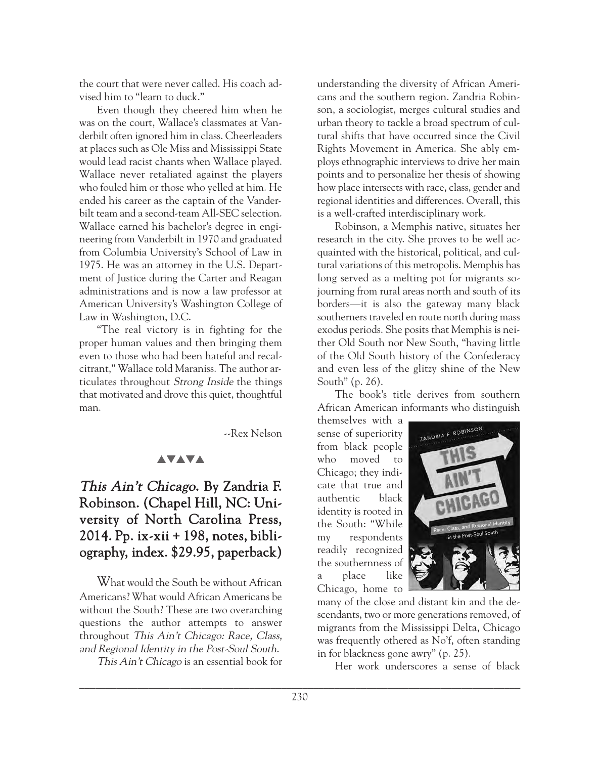the court that were never called. His coach advised him to "learn to duck."

Even though they cheered him when he was on the court, Wallace's classmates at Vanderbilt often ignored him in class. Cheerleaders at places such as Ole Miss and Mississippi State would lead racist chants when Wallace played. Wallace never retaliated against the players who fouled him or those who yelled at him. He ended his career as the captain of the Vanderbilt team and a second-team All-SEC selection. Wallace earned his bachelor's degree in engineering from Vanderbilt in 1970 and graduated from Columbia University's School of Law in 1975. He was an attorney in the U.S. Department of Justice during the Carter and Reagan administrations and is now a law professor at American University's Washington College of Law in Washington, D.C.

"The real victory is in fighting for the proper human values and then bringing them even to those who had been hateful and recalcitrant," Wallace told Maraniss. The author articulates throughout Strong Inside the things that motivated and drove this quiet, thoughtful man.

--Rex Nelson

## **AVAVA**

# This Ain't Chicago. By Zandria F. Robinson. (Chapel Hill, NC: University of North Carolina Press, 2014. Pp. ix-xii + 198, notes, bibliography, index. \$29.95, paperback)

What would the South be without African Americans? What would African Americans be without the South? These are two overarching questions the author attempts to answer throughout This Ain't Chicago: Race, Class, and Regional Identity in the Post-Soul South.

This Ain't Chicago is an essential book for

understanding the diversity of African Americans and the southern region. Zandria Robinson, a sociologist, merges cultural studies and urban theory to tackle a broad spectrum of cultural shifts that have occurred since the Civil Rights Movement in America. She ably employs ethnographic interviews to drive her main points and to personalize her thesis of showing how place intersects with race, class, gender and regional identities and differences. Overall, this is a well-crafted interdisciplinary work.

Robinson, a Memphis native, situates her research in the city. She proves to be well acquainted with the historical, political, and cultural variations of this metropolis. Memphis has long served as a melting pot for migrants sojourning from rural areas north and south of its borders—it is also the gateway many black southerners traveled en route north during mass exodus periods. She posits that Memphis is neither Old South nor New South, "having little of the Old South history of the Confederacy and even less of the glitzy shine of the New South" (p. 26).

The book's title derives from southern African American informants who distinguish

themselves with a sense of superiority from black people who moved to Chicago; they indicate that true and authentic black identity is rooted in the South: "While my respondents readily recognized the southernness of a place like Chicago, home to



many of the close and distant kin and the descendants, two or more generations removed, of migrants from the Mississippi Delta, Chicago was frequently othered as No'f, often standing in for blackness gone awry" (p. 25).

Her work underscores a sense of black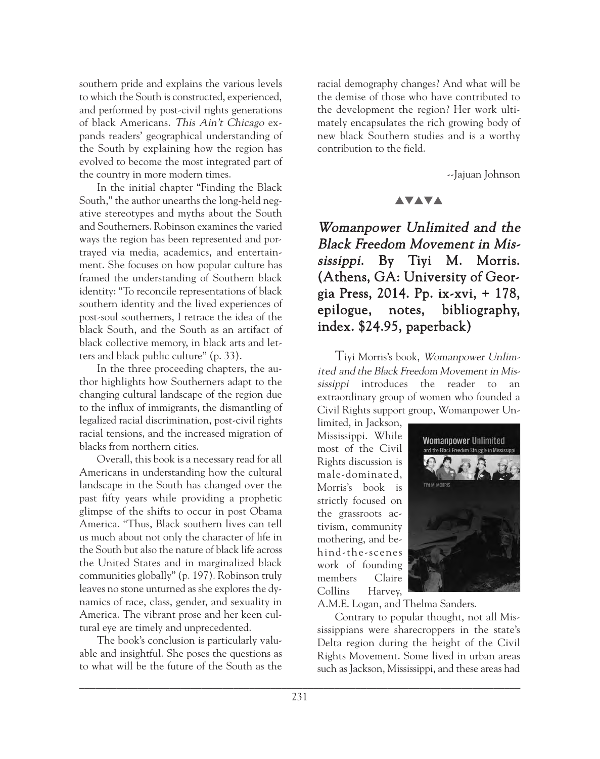southern pride and explains the various levels to which the South is constructed, experienced, and performed by post-civil rights generations of black Americans. This Ain't Chicago expands readers' geographical understanding of the South by explaining how the region has evolved to become the most integrated part of the country in more modern times.

In the initial chapter "Finding the Black South," the author unearths the long-held negative stereotypes and myths about the South and Southerners. Robinson examines the varied ways the region has been represented and portrayed via media, academics, and entertainment. She focuses on how popular culture has framed the understanding of Southern black identity: "To reconcile representations of black southern identity and the lived experiences of post-soul southerners, I retrace the idea of the black South, and the South as an artifact of black collective memory, in black arts and letters and black public culture" (p. 33).

In the three proceeding chapters, the author highlights how Southerners adapt to the changing cultural landscape of the region due to the influx of immigrants, the dismantling of legalized racial discrimination, post-civil rights racial tensions, and the increased migration of blacks from northern cities.

Overall, this book is a necessary read for all Americans in understanding how the cultural landscape in the South has changed over the past fifty years while providing a prophetic glimpse of the shifts to occur in post Obama America. "Thus, Black southern lives can tell us much about not only the character of life in the South but also the nature of black life across the United States and in marginalized black communities globally" (p. 197). Robinson truly leaves no stone unturned as she explores the dynamics of race, class, gender, and sexuality in America. The vibrant prose and her keen cultural eye are timely and unprecedented.

The book's conclusion is particularly valuable and insightful. She poses the questions as to what will be the future of the South as the racial demography changes? And what will be the demise of those who have contributed to the development the region? Her work ultimately encapsulates the rich growing body of new black Southern studies and is a worthy contribution to the field.

--Jajuan Johnson

#### **AVAVA**

Womanpower Unlimited and the Black Freedom Movement in Mississippi. By Tiyi M. Morris. (Athens, GA: University of Georgia Press, 2014. Pp. ix-xvi, + 178, epilogue, notes, bibliography, index. \$24.95, paperback)

Tiyi Morris's book, Womanpower Unlimited and the Black Freedom Movement in Mississippi introduces the reader to an extraordinary group of women who founded a Civil Rights support group, Womanpower Un-

limited, in Jackson, Mississippi. While most of the Civil Rights discussion is male-dominated, Morris's book is strictly focused on the grassroots activism, community mothering, and behind-the-scenes work of founding members Claire Collins Harvey,



A.M.E. Logan, and Thelma Sanders.

Contrary to popular thought, not all Mississippians were sharecroppers in the state's Delta region during the height of the Civil Rights Movement. Some lived in urban areas such as Jackson, Mississippi, and these areas had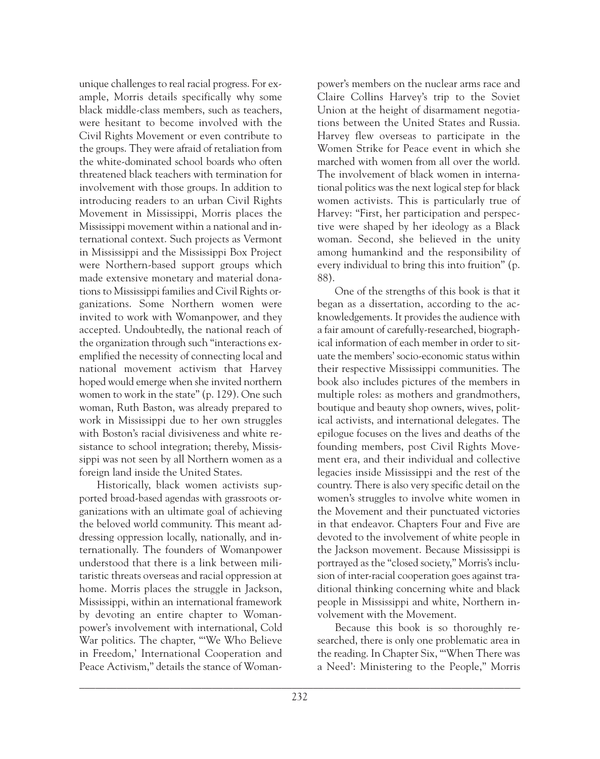unique challenges to real racial progress. For example, Morris details specifically why some black middle-class members, such as teachers, were hesitant to become involved with the Civil Rights Movement or even contribute to the groups. They were afraid of retaliation from the white-dominated school boards who often threatened black teachers with termination for involvement with those groups. In addition to introducing readers to an urban Civil Rights Movement in Mississippi, Morris places the Mississippi movement within a national and international context. Such projects as Vermont in Mississippi and the Mississippi Box Project were Northern-based support groups which made extensive monetary and material donations to Mississippi families and Civil Rights organizations. Some Northern women were invited to work with Womanpower, and they accepted. Undoubtedly, the national reach of the organization through such "interactions exemplified the necessity of connecting local and national movement activism that Harvey hoped would emerge when she invited northern women to work in the state" (p. 129). One such woman, Ruth Baston, was already prepared to work in Mississippi due to her own struggles with Boston's racial divisiveness and white resistance to school integration; thereby, Mississippi was not seen by all Northern women as a foreign land inside the United States.

Historically, black women activists supported broad-based agendas with grassroots organizations with an ultimate goal of achieving the beloved world community. This meant addressing oppression locally, nationally, and internationally. The founders of Womanpower understood that there is a link between militaristic threats overseas and racial oppression at home. Morris places the struggle in Jackson, Mississippi, within an international framework by devoting an entire chapter to Womanpower's involvement with international, Cold War politics. The chapter, "'We Who Believe in Freedom,' International Cooperation and Peace Activism," details the stance of Womanpower's members on the nuclear arms race and Claire Collins Harvey's trip to the Soviet Union at the height of disarmament negotiations between the United States and Russia. Harvey flew overseas to participate in the Women Strike for Peace event in which she marched with women from all over the world. The involvement of black women in international politics was the next logical step for black women activists. This is particularly true of Harvey: "First, her participation and perspective were shaped by her ideology as a Black woman. Second, she believed in the unity among humankind and the responsibility of every individual to bring this into fruition" (p. 88).

One of the strengths of this book is that it began as a dissertation, according to the acknowledgements. It provides the audience with a fair amount of carefully-researched, biographical information of each member in order to situate the members' socio-economic status within their respective Mississippi communities. The book also includes pictures of the members in multiple roles: as mothers and grandmothers, boutique and beauty shop owners, wives, political activists, and international delegates. The epilogue focuses on the lives and deaths of the founding members, post Civil Rights Movement era, and their individual and collective legacies inside Mississippi and the rest of the country. There is also very specific detail on the women's struggles to involve white women in the Movement and their punctuated victories in that endeavor. Chapters Four and Five are devoted to the involvement of white people in the Jackson movement. Because Mississippi is portrayed as the "closed society," Morris's inclusion of inter-racial cooperation goes against traditional thinking concerning white and black people in Mississippi and white, Northern involvement with the Movement.

Because this book is so thoroughly researched, there is only one problematic area in the reading. In Chapter Six, "'When There was a Need': Ministering to the People," Morris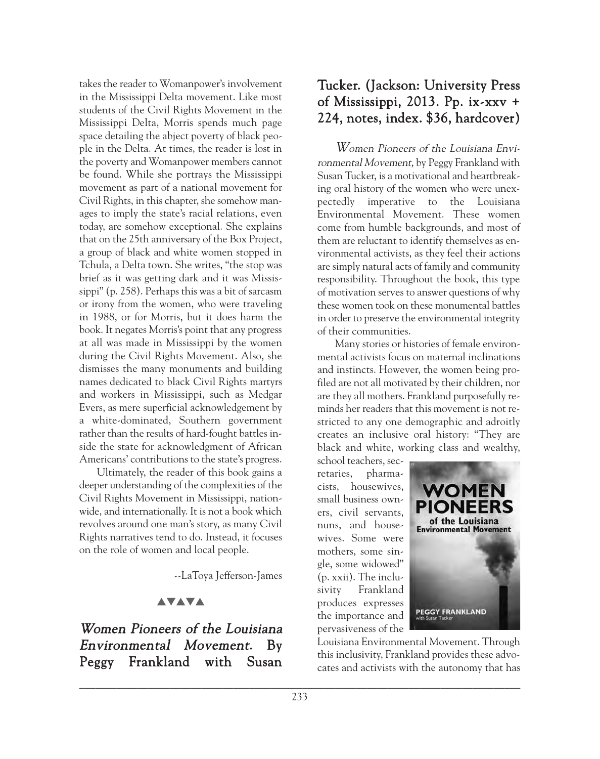takes the reader to Womanpower's involvement in the Mississippi Delta movement. Like most students of the Civil Rights Movement in the Mississippi Delta, Morris spends much page space detailing the abject poverty of black people in the Delta. At times, the reader is lost in the poverty and Womanpower members cannot be found. While she portrays the Mississippi movement as part of a national movement for Civil Rights, in this chapter, she somehow manages to imply the state's racial relations, even today, are somehow exceptional. She explains that on the 25th anniversary of the Box Project, a group of black and white women stopped in Tchula, a Delta town. She writes, "the stop was brief as it was getting dark and it was Mississippi" (p. 258). Perhaps this was a bit of sarcasm or irony from the women, who were traveling in 1988, or for Morris, but it does harm the book. It negates Morris's point that any progress at all was made in Mississippi by the women during the Civil Rights Movement. Also, she dismisses the many monuments and building names dedicated to black Civil Rights martyrs and workers in Mississippi, such as Medgar Evers, as mere superficial acknowledgement by a white-dominated, Southern government rather than the results of hard-fought battles inside the state for acknowledgment of African Americans' contributions to the state's progress.

Ultimately, the reader of this book gains a deeper understanding of the complexities of the Civil Rights Movement in Mississippi, nationwide, and internationally. It is not a book which revolves around one man's story, as many Civil Rights narratives tend to do. Instead, it focuses on the role of women and local people.

--LaToya Jefferson-James

## **AVAVA**

Women Pioneers of the Louisiana Environmental Movement. By Peggy Frankland with Susan

# Tucker. (Jackson: University Press of Mississippi, 2013. Pp. ix-xxv + 224, notes, index. \$36, hardcover)

Women Pioneers of the Louisiana Environmental Movement, by Peggy Frankland with Susan Tucker, is a motivational and heartbreaking oral history of the women who were unexpectedly imperative to the Louisiana Environmental Movement. These women come from humble backgrounds, and most of them are reluctant to identify themselves as environmental activists, as they feel their actions are simply natural acts of family and community responsibility. Throughout the book, this type of motivation serves to answer questions of why these women took on these monumental battles in order to preserve the environmental integrity of their communities.

Many stories or histories of female environmental activists focus on maternal inclinations and instincts. However, the women being profiled are not all motivated by their children, nor are they all mothers. Frankland purposefully reminds her readers that this movement is not restricted to any one demographic and adroitly creates an inclusive oral history: "They are black and white, working class and wealthy,

school teachers, secretaries, pharmacists, housewives, small business owners, civil servants, nuns, and housewives. Some were mothers, some single, some widowed" (p. xxii). The inclusivity Frankland produces expresses the importance and pervasiveness of the



Louisiana Environmental Movement. Through this inclusivity, Frankland provides these advocates and activists with the autonomy that has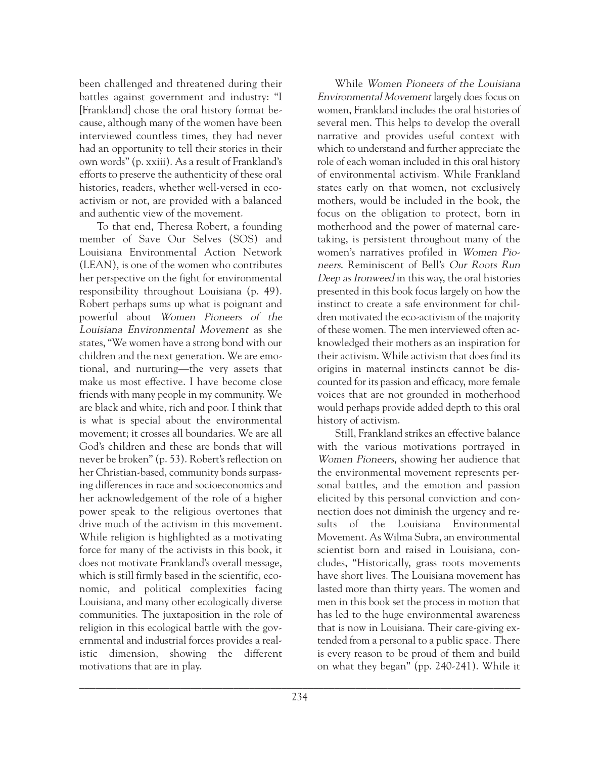been challenged and threatened during their battles against government and industry: "I [Frankland] chose the oral history format because, although many of the women have been interviewed countless times, they had never had an opportunity to tell their stories in their own words" (p. xxiii). As a result of Frankland's efforts to preserve the authenticity of these oral histories, readers, whether well-versed in ecoactivism or not, are provided with a balanced and authentic view of the movement.

To that end, Theresa Robert, a founding member of Save Our Selves (SOS) and Louisiana Environmental Action Network (LEAN), is one of the women who contributes her perspective on the fight for environmental responsibility throughout Louisiana (p. 49). Robert perhaps sums up what is poignant and powerful about Women Pioneers of the Louisiana Environmental Movement as she states, "We women have a strong bond with our children and the next generation. We are emotional, and nurturing—the very assets that make us most effective. I have become close friends with many people in my community. We are black and white, rich and poor. I think that is what is special about the environmental movement; it crosses all boundaries. We are all God's children and these are bonds that will never be broken" (p. 53). Robert's reflection on her Christian-based, community bonds surpassing differences in race and socioeconomics and her acknowledgement of the role of a higher power speak to the religious overtones that drive much of the activism in this movement. While religion is highlighted as a motivating force for many of the activists in this book, it does not motivate Frankland's overall message, which is still firmly based in the scientific, economic, and political complexities facing Louisiana, and many other ecologically diverse communities. The juxtaposition in the role of religion in this ecological battle with the governmental and industrial forces provides a realistic dimension, showing the different motivations that are in play.

Environmental Movement largely does focus on women, Frankland includes the oral histories of several men. This helps to develop the overall narrative and provides useful context with which to understand and further appreciate the role of each woman included in this oral history of environmental activism. While Frankland states early on that women, not exclusively mothers, would be included in the book, the focus on the obligation to protect, born in motherhood and the power of maternal caretaking, is persistent throughout many of the women's narratives profiled in Women Pioneers. Reminiscent of Bell's Our Roots Run Deep as Ironweed in this way, the oral histories presented in this book focus largely on how the instinct to create a safe environment for children motivated the eco-activism of the majority of these women. The men interviewed often acknowledged their mothers as an inspiration for their activism. While activism that does find its origins in maternal instincts cannot be discounted for its passion and efficacy, more female voices that are not grounded in motherhood would perhaps provide added depth to this oral history of activism. Still, Frankland strikes an effective balance

While Women Pioneers of the Louisiana

with the various motivations portrayed in Women Pioneers, showing her audience that the environmental movement represents personal battles, and the emotion and passion elicited by this personal conviction and connection does not diminish the urgency and results of the Louisiana Environmental Movement. As Wilma Subra, an environmental scientist born and raised in Louisiana, concludes, "Historically, grass roots movements have short lives. The Louisiana movement has lasted more than thirty years. The women and men in this book set the process in motion that has led to the huge environmental awareness that is now in Louisiana. Their care-giving extended from a personal to a public space. There is every reason to be proud of them and build on what they began" (pp. 240-241). While it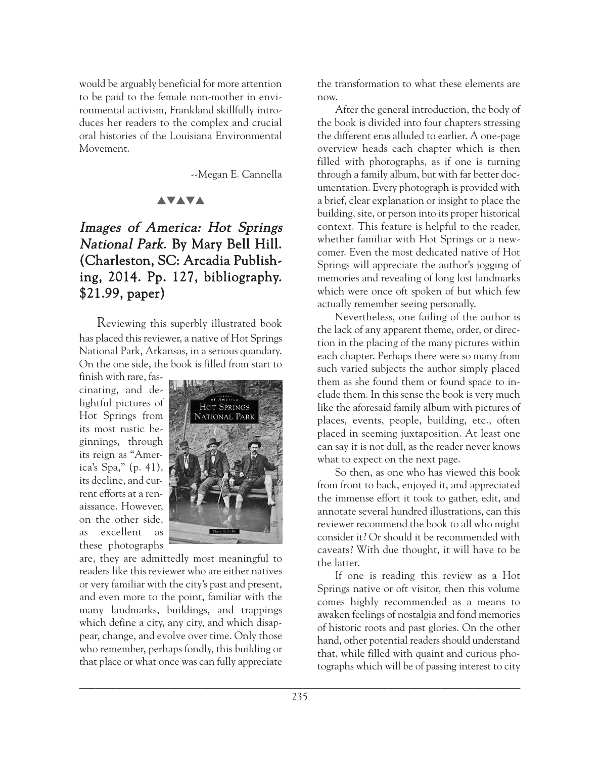would be arguably beneficial for more attention to be paid to the female non-mother in environmental activism, Frankland skillfully introduces her readers to the complex and crucial oral histories of the Louisiana Environmental Movement.

--Megan E. Cannella

#### **AVAVA**

# Images of America: Hot Springs National Park. By Mary Bell Hill. (Charleston, SC: Arcadia Publishing, 2014. Pp. 127, bibliography. \$21.99, paper)

Reviewing this superbly illustrated book has placed this reviewer, a native of Hot Springs National Park, Arkansas, in a serious quandary. On the one side, the book is filled from start to

finish with rare, fascinating, and delightful pictures of Hot Springs from its most rustic beginnings, through its reign as "America's Spa," (p. 41), its decline, and current efforts at a renaissance. However, on the other side, as excellent as these photographs



are, they are admittedly most meaningful to readers like this reviewer who are either natives or very familiar with the city's past and present, and even more to the point, familiar with the many landmarks, buildings, and trappings which define a city, any city, and which disappear, change, and evolve over time. Only those who remember, perhaps fondly, this building or that place or what once was can fully appreciate the transformation to what these elements are now.

After the general introduction, the body of the book is divided into four chapters stressing the different eras alluded to earlier. A one-page overview heads each chapter which is then filled with photographs, as if one is turning through a family album, but with far better documentation. Every photograph is provided with a brief, clear explanation or insight to place the building, site, or person into its proper historical context. This feature is helpful to the reader, whether familiar with Hot Springs or a newcomer. Even the most dedicated native of Hot Springs will appreciate the author's jogging of memories and revealing of long lost landmarks which were once oft spoken of but which few actually remember seeing personally.

Nevertheless, one failing of the author is the lack of any apparent theme, order, or direction in the placing of the many pictures within each chapter. Perhaps there were so many from such varied subjects the author simply placed them as she found them or found space to include them. In this sense the book is very much like the aforesaid family album with pictures of places, events, people, building, etc., often placed in seeming juxtaposition. At least one can say it is not dull, as the reader never knows what to expect on the next page.

So then, as one who has viewed this book from front to back, enjoyed it, and appreciated the immense effort it took to gather, edit, and annotate several hundred illustrations, can this reviewer recommend the book to all who might consider it? Or should it be recommended with caveats? With due thought, it will have to be the latter.

If one is reading this review as a Hot Springs native or oft visitor, then this volume comes highly recommended as a means to awaken feelings of nostalgia and fond memories of historic roots and past glories. On the other hand, other potential readers should understand that, while filled with quaint and curious photographs which will be of passing interest to city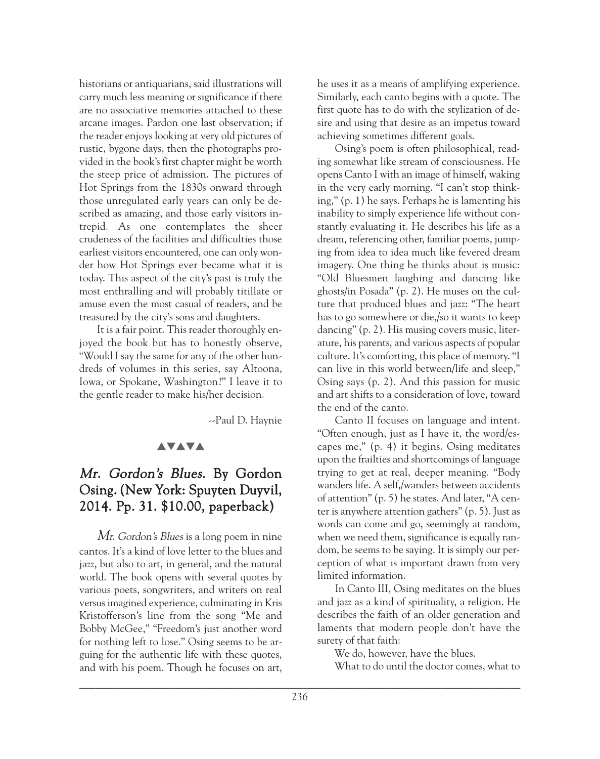historians or antiquarians, said illustrations will carry much less meaning or significance if there are no associative memories attached to these arcane images. Pardon one last observation; if the reader enjoys looking at very old pictures of rustic, bygone days, then the photographs provided in the book's first chapter might be worth the steep price of admission. The pictures of Hot Springs from the 1830s onward through those unregulated early years can only be described as amazing, and those early visitors intrepid. As one contemplates the sheer crudeness of the facilities and difficulties those earliest visitors encountered, one can only wonder how Hot Springs ever became what it is today. This aspect of the city's past is truly the most enthralling and will probably titillate or amuse even the most casual of readers, and be treasured by the city's sons and daughters.

It is a fair point. This reader thoroughly enjoyed the book but has to honestly observe, "Would I say the same for any of the other hundreds of volumes in this series, say Altoona, Iowa, or Spokane, Washington?" I leave it to the gentle reader to make his/her decision.

--Paul D. Haynie

### **AVAVA**

# Mr. Gordon's Blues. By Gordon Osing. (New York: Spuyten Duyvil, 2014. Pp. 31. \$10.00, paperback)

Mr. Gordon's Blues is a long poem in nine cantos. It's a kind of love letter to the blues and jazz, but also to art, in general, and the natural world. The book opens with several quotes by various poets, songwriters, and writers on real versus imagined experience, culminating in Kris Kristofferson's line from the song "Me and Bobby McGee," "Freedom's just another word for nothing left to lose." Osing seems to be arguing for the authentic life with these quotes, and with his poem. Though he focuses on art, he uses it as a means of amplifying experience. Similarly, each canto begins with a quote. The first quote has to do with the stylization of desire and using that desire as an impetus toward achieving sometimes different goals.

Osing's poem is often philosophical, reading somewhat like stream of consciousness. He opens Canto I with an image of himself, waking in the very early morning. "I can't stop thinking," (p. 1) he says. Perhaps he is lamenting his inability to simply experience life without constantly evaluating it. He describes his life as a dream, referencing other, familiar poems, jumping from idea to idea much like fevered dream imagery. One thing he thinks about is music: "Old Bluesmen laughing and dancing like ghosts/in Posada" (p. 2). He muses on the culture that produced blues and jazz: "The heart has to go somewhere or die,/so it wants to keep dancing" (p. 2). His musing covers music, literature, his parents, and various aspects of popular culture. It's comforting, this place of memory. "I can live in this world between/life and sleep," Osing says (p. 2). And this passion for music and art shifts to a consideration of love, toward the end of the canto.

Canto II focuses on language and intent. "Often enough, just as I have it, the word/escapes me," (p. 4) it begins. Osing meditates upon the frailties and shortcomings of language trying to get at real, deeper meaning. "Body wanders life. A self,/wanders between accidents of attention" (p. 5) he states. And later, "A center is anywhere attention gathers" (p. 5). Just as words can come and go, seemingly at random, when we need them, significance is equally random, he seems to be saying. It is simply our perception of what is important drawn from very limited information.

In Canto III, Osing meditates on the blues and jazz as a kind of spirituality, a religion. He describes the faith of an older generation and laments that modern people don't have the surety of that faith:

We do, however, have the blues.

What to do until the doctor comes, what to